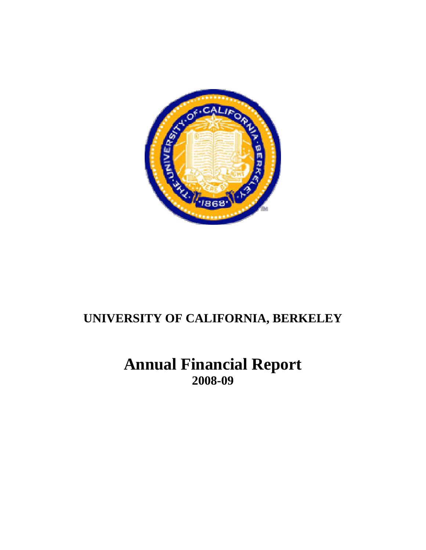

**Annual Financial Report 2008-09**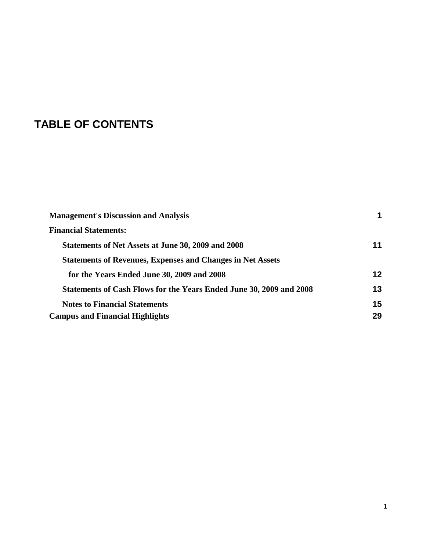# **TABLE OF CONTENTS**

| <b>Management's Discussion and Analysis</b>                                |    |
|----------------------------------------------------------------------------|----|
| <b>Financial Statements:</b>                                               |    |
| Statements of Net Assets at June 30, 2009 and 2008                         | 11 |
| <b>Statements of Revenues, Expenses and Changes in Net Assets</b>          |    |
| for the Years Ended June 30, 2009 and 2008                                 | 12 |
| <b>Statements of Cash Flows for the Years Ended June 30, 2009 and 2008</b> | 13 |
| <b>Notes to Financial Statements</b>                                       | 15 |
| <b>Campus and Financial Highlights</b>                                     | 29 |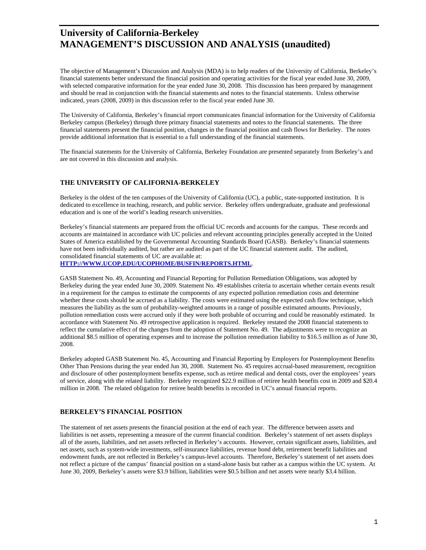The objective of Management's Discussion and Analysis (MDA) is to help readers of the University of California, Berkeley's financial statements better understand the financial position and operating activities for the fiscal year ended June 30, 2009, with selected comparative information for the year ended June 30, 2008. This discussion has been prepared by management and should be read in conjunction with the financial statements and notes to the financial statements. Unless otherwise indicated, years (2008, 2009) in this discussion refer to the fiscal year ended June 30.

The University of California, Berkeley's financial report communicates financial information for the University of California Berkeley campus (Berkeley) through three primary financial statements and notes to the financial statements. The three financial statements present the financial position, changes in the financial position and cash flows for Berkeley. The notes provide additional information that is essential to a full understanding of the financial statements.

The financial statements for the University of California, Berkeley Foundation are presented separately from Berkeley's and are not covered in this discussion and analysis.

#### **THE UNIVERSITY OF CALIFORNIA-BERKELEY**

Berkeley is the oldest of the ten campuses of the University of California (UC), a public, state-supported institution. It is dedicated to excellence in teaching, research, and public service. Berkeley offers undergraduate, graduate and professional education and is one of the world's leading research universities.

Berkeley's financial statements are prepared from the official UC records and accounts for the campus. These records and accounts are maintained in accordance with UC policies and relevant accounting principles generally accepted in the United States of America established by the Governmental Accounting Standards Board (GASB). Berkeley's financial statements have not been individually audited, but rather are audited as part of the UC financial statement audit. The audited, consolidated financial statements of UC are available at:

#### **[HTTP://WWW.UCOP.EDU/UCOPHOME/BUSFIN/REPORTS.HTML](http://www.ucop.edu/ucophome/busfin/reports.html)**.

GASB Statement No. 49, Accounting and Financial Reporting for Pollution Remediation Obligations, was adopted by Berkeley during the year ended June 30, 2009. Statement No. 49 establishes criteria to ascertain whether certain events result in a requirement for the campus to estimate the components of any expected pollution remediation costs and determine whether these costs should be accrued as a liability. The costs were estimated using the expected cash flow technique, which measures the liability as the sum of probability-weighted amounts in a range of possible estimated amounts. Previously, pollution remediation costs were accrued only if they were both probable of occurring and could be reasonably estimated. In accordance with Statement No. 49 retrospective application is required. Berkeley restated the 2008 financial statements to reflect the cumulative effect of the changes from the adoption of Statement No. 49. The adjustments were to recognize an additional \$8.5 million of operating expenses and to increase the pollution remediation liability to \$16.5 million as of June 30, 2008.

Berkeley adopted GASB Statement No. 45, Accounting and Financial Reporting by Employers for Postemployment Benefits Other Than Pensions during the year ended Jun 30, 2008. Statement No. 45 requires accrual-based measurement, recognition and disclosure of other postemployment benefits expense, such as retiree medical and dental costs, over the employees' years of service, along with the related liability. Berkeley recognized \$22.9 million of retiree health benefits cost in 2009 and \$20.4 million in 2008. The related obligation for retiree health benefits is recorded in UC's annual financial reports.

#### **BERKELEY'S FINANCIAL POSITION**

The statement of net assets presents the financial position at the end of each year. The difference between assets and liabilities is net assets, representing a measure of the current financial condition. Berkeley's statement of net assets displays all of the assets, liabilities, and net assets reflected in Berkeley's accounts. However, certain significant assets, liabilities, and net assets, such as system-wide investments, self-insurance liabilities, revenue bond debt, retirement benefit liabilities and endowment funds, are not reflected in Berkeley's campus-level accounts. Therefore, Berkeley's statement of net assets does not reflect a picture of the campus' financial position on a stand-alone basis but rather as a campus within the UC system. At June 30, 2009, Berkeley's assets were \$3.9 billion, liabilities were \$0.5 billion and net assets were nearly \$3.4 billion.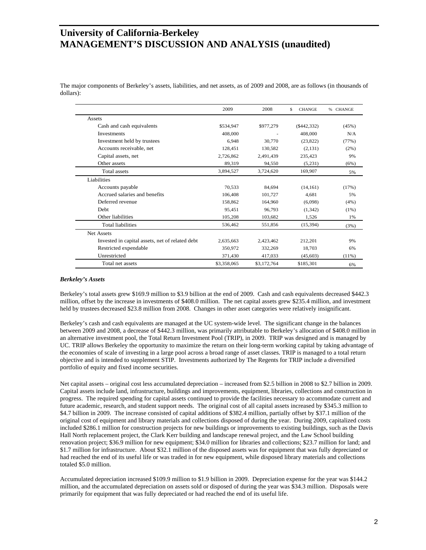The major components of Berkeley's assets, liabilities, and net assets, as of 2009 and 2008, are as follows (in thousands of dollars):

|                                                 | 2009        | 2008        | S<br><b>CHANGE</b> | <b>CHANGE</b><br>% |
|-------------------------------------------------|-------------|-------------|--------------------|--------------------|
| Assets                                          |             |             |                    |                    |
| Cash and cash equivalents                       | \$534,947   | \$977,279   | $(\$442,332)$      | (45%)              |
| <b>Investments</b>                              | 408,000     |             | 408,000            | N/A                |
| Investment held by trustees                     | 6.948       | 30,770      | (23, 822)          | (77%)              |
| Accounts receivable, net                        | 128.451     | 130,582     | (2,131)            | (2%)               |
| Capital assets, net                             | 2,726,862   | 2,491,439   | 235,423            | 9%                 |
| Other assets                                    | 89,319      | 94,550      | (5,231)            | (6%)               |
| Total assets                                    | 3,894,527   | 3,724,620   | 169,907            | 5%                 |
| Liabilities                                     |             |             |                    |                    |
| Accounts payable                                | 70.533      | 84.694      | (14, 161)          | (17%)              |
| Accrued salaries and benefits                   | 106,408     | 101,727     | 4,681              | 5%                 |
| Deferred revenue                                | 158,862     | 164,960     | (6,098)            | (4%)               |
| <b>Debt</b>                                     | 95.451      | 96.793      | (1,342)            | $(1\%)$            |
| Other liabilities                               | 105,208     | 103,682     | 1,526              | 1%                 |
| <b>Total liabilities</b>                        | 536,462     | 551,856     | (15,394)           | (3%)               |
| <b>Net Assets</b>                               |             |             |                    |                    |
| Invested in capital assets, net of related debt | 2,635,663   | 2.423.462   | 212,201            | 9%                 |
| Restricted expendable                           | 350,972     | 332,269     | 18,703             | 6%                 |
| Unrestricted                                    | 371,430     | 417,033     | (45, 603)          | $(11\%)$           |
| Total net assets                                | \$3,358,065 | \$3,172,764 | \$185,301          | 6%                 |

#### *Berkeley's Assets*

Berkeley's total assets grew \$169.9 million to \$3.9 billion at the end of 2009. Cash and cash equivalents decreased \$442.3 million, offset by the increase in investments of \$408.0 million. The net capital assets grew \$235.4 million, and investment held by trustees decreased \$23.8 million from 2008. Changes in other asset categories were relatively insignificant.

Berkeley's cash and cash equivalents are managed at the UC system-wide level. The significant change in the balances between 2009 and 2008, a decrease of \$442.3 million, was primarily attributable to Berkeley's allocation of \$408.0 million in an alternative investment pool, the Total Return Investment Pool (TRIP), in 2009. TRIP was designed and is managed by UC. TRIP allows Berkeley the opportunity to maximize the return on their long-term working capital by taking advantage of the economies of scale of investing in a large pool across a broad range of asset classes. TRIP is managed to a total return objective and is intended to supplement STIP. Investments authorized by The Regents for TRIP include a diversified portfolio of equity and fixed income securities.

Net capital assets – original cost less accumulated depreciation – increased from \$2.5 billion in 2008 to \$2.7 billion in 2009. Capital assets include land, infrastructure, buildings and improvements, equipment, libraries, collections and construction in progress. The required spending for capital assets continued to provide the facilities necessary to accommodate current and future academic, research, and student support needs. The original cost of all capital assets increased by \$345.3 million to \$4.7 billion in 2009. The increase consisted of capital additions of \$382.4 million, partially offset by \$37.1 million of the original cost of equipment and library materials and collections disposed of during the year. During 2009, capitalized costs included \$286.1 million for construction projects for new buildings or improvements to existing buildings, such as the Davis Hall North replacement project, the Clark Kerr building and landscape renewal project, and the Law School building renovation project; \$36.9 million for new equipment; \$34.0 million for libraries and collections; \$23.7 million for land; and \$1.7 million for infrastructure. About \$32.1 million of the disposed assets was for equipment that was fully depreciated or had reached the end of its useful life or was traded in for new equipment, while disposed library materials and collections totaled \$5.0 million.

Accumulated depreciation increased \$109.9 million to \$1.9 billion in 2009. Depreciation expense for the year was \$144.2 million, and the accumulated depreciation on assets sold or disposed of during the year was \$34.3 million. Disposals were primarily for equipment that was fully depreciated or had reached the end of its useful life.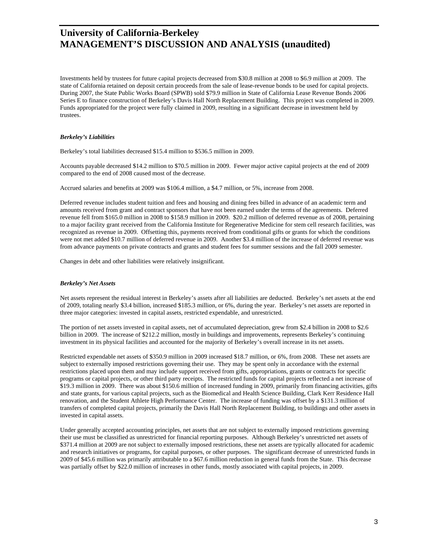Investments held by trustees for future capital projects decreased from \$30.8 million at 2008 to \$6.9 million at 2009. The state of California retained on deposit certain proceeds from the sale of lease-revenue bonds to be used for capital projects. During 2007, the State Public Works Board (SPWB) sold \$79.9 million in State of California Lease Revenue Bonds 2006 Series E to finance construction of Berkeley's Davis Hall North Replacement Building. This project was completed in 2009. Funds appropriated for the project were fully claimed in 2009, resulting in a significant decrease in investment held by trustees.

#### *Berkeley's Liabilities*

Berkeley's total liabilities decreased \$15.4 million to \$536.5 million in 2009.

Accounts payable decreased \$14.2 million to \$70.5 million in 2009. Fewer major active capital projects at the end of 2009 compared to the end of 2008 caused most of the decrease.

Accrued salaries and benefits at 2009 was \$106.4 million, a \$4.7 million, or 5%, increase from 2008.

Deferred revenue includes student tuition and fees and housing and dining fees billed in advance of an academic term and amounts received from grant and contract sponsors that have not been earned under the terms of the agreements. Deferred revenue fell from \$165.0 million in 2008 to \$158.9 million in 2009. \$20.2 million of deferred revenue as of 2008, pertaining to a major facility grant received from the California Institute for Regenerative Medicine for stem cell research facilities, was recognized as revenue in 2009. Offsetting this, payments received from conditional gifts or grants for which the conditions were not met added \$10.7 million of deferred revenue in 2009. Another \$3.4 million of the increase of deferred revenue was from advance payments on private contracts and grants and student fees for summer sessions and the fall 2009 semester.

Changes in debt and other liabilities were relatively insignificant.

#### *Berkeley's Net Assets*

Net assets represent the residual interest in Berkeley's assets after all liabilities are deducted. Berkeley's net assets at the end of 2009, totaling nearly \$3.4 billion, increased \$185.3 million, or 6%, during the year. Berkeley's net assets are reported in three major categories: invested in capital assets, restricted expendable, and unrestricted.

The portion of net assets invested in capital assets, net of accumulated depreciation, grew from \$2.4 billion in 2008 to \$2.6 billion in 2009. The increase of \$212.2 million, mostly in buildings and improvements, represents Berkeley's continuing investment in its physical facilities and accounted for the majority of Berkeley's overall increase in its net assets.

Restricted expendable net assets of \$350.9 million in 2009 increased \$18.7 million, or 6%, from 2008. These net assets are subject to externally imposed restrictions governing their use. They may be spent only in accordance with the external restrictions placed upon them and may include support received from gifts, appropriations, grants or contracts for specific programs or capital projects, or other third party receipts. The restricted funds for capital projects reflected a net increase of \$19.3 million in 2009. There was about \$150.6 million of increased funding in 2009, primarily from financing activities, gifts and state grants, for various capital projects, such as the Biomedical and Health Science Building, Clark Kerr Residence Hall renovation, and the Student Athlete High Performance Center. The increase of funding was offset by a \$131.3 million of transfers of completed capital projects, primarily the Davis Hall North Replacement Building, to buildings and other assets in invested in capital assets.

Under generally accepted accounting principles, net assets that are not subject to externally imposed restrictions governing their use must be classified as unrestricted for financial reporting purposes. Although Berkeley's unrestricted net assets of \$371.4 million at 2009 are not subject to externally imposed restrictions, these net assets are typically allocated for academic and research initiatives or programs, for capital purposes, or other purposes. The significant decrease of unrestricted funds in 2009 of \$45.6 million was primarily attributable to a \$67.6 million reduction in general funds from the State. This decrease was partially offset by \$22.0 million of increases in other funds, mostly associated with capital projects, in 2009.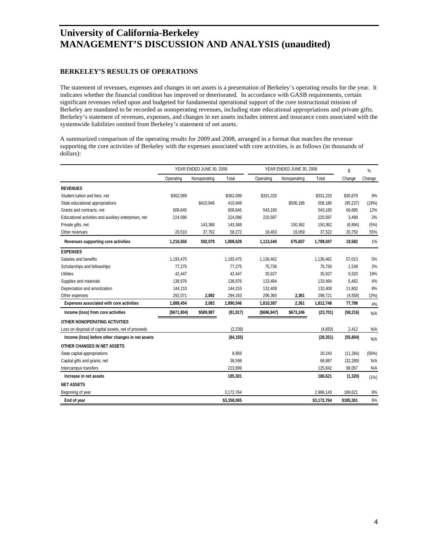#### **BERKELEY'S RESULTS OF OPERATIONS**

The statement of revenues, expenses and changes in net assets is a presentation of Berkeley's operating results for the year. It indicates whether the financial condition has improved or deteriorated. In accordance with GASB requirements, certain significant revenues relied upon and budgeted for fundamental operational support of the core instructional mission of Berkeley are mandated to be recorded as nonoperating revenues, including state educational appropriations and private gifts. Berkeley's statement of revenues, expenses, and changes in net assets includes interest and insurance costs associated with the systemwide liabilities omitted from Berkeley's statement of net assets.

A summarized comparison of the operating results for 2009 and 2008, arranged in a format that matches the revenue supporting the core activities of Berkeley with the expenses associated with core activities, is as follows (in thousands of dollars):

|                                                       | YEAR ENDED JUNE 30, 2009 |              |             | YEAR ENDED JUNE 30, 2008 |              |             | %         |        |
|-------------------------------------------------------|--------------------------|--------------|-------------|--------------------------|--------------|-------------|-----------|--------|
|                                                       | Operating                | Nonoperating | Total       | Operating                | Nonoperating | Total       | Change    | Change |
| <b>REVENUES</b>                                       |                          |              |             |                          |              |             |           |        |
| Student tuition and fees, net                         | \$362,099                |              | \$362,099   | \$331,220                |              | \$331,220   | \$30,879  | 9%     |
| State educational appropriations                      |                          | \$410,949    | 410,949     |                          | \$506,186    | 506,186     | (95, 237) | (19%)  |
| Grants and contracts, net                             | 609,845                  |              | 609,845     | 543,160                  |              | 543,160     | 66,685    | 12%    |
| Educational activities and auxiliary enterprises, net | 224,096                  |              | 224,096     | 220,597                  |              | 220,597     | 3,499     | 2%     |
| Private gifts, net                                    |                          | 143,368      | 143,368     |                          | 150,362      | 150,362     | (6,994)   | (5%)   |
| Other revenues                                        | 20,510                   | 37,762       | 58,272      | 18,463                   | 19,059       | 37,522      | 20,750    | 55%    |
| Revenues supporting core activities                   | 1,216,550                | 592,079      | 1,808,629   | 1,113,440                | 675,607      | 1,789,047   | 19,582    | 1%     |
| <b>EXPENSES</b>                                       |                          |              |             |                          |              |             |           |        |
| Salaries and benefits                                 | 1,193,475                |              | 1,193,475   | 1,136,462                |              | 1,136,462   | 57,013    | 5%     |
| Scholarships and fellowships                          | 77,275                   |              | 77,275      | 75,736                   |              | 75,736      | 1,539     | 2%     |
| <b>Utilities</b>                                      | 42,447                   |              | 42,447      | 35,927                   |              | 35,927      | 6,520     | 18%    |
| Supplies and materials                                | 138,976                  |              | 138,976     | 133,494                  |              | 133,494     | 5,482     | 4%     |
| Depreciation and amortization                         | 144,210                  |              | 144,210     | 132,408                  |              | 132,408     | 11,802    | 9%     |
| Other expenses                                        | 292,071                  | 2,092        | 294,163     | 296,360                  | 2,361        | 298,721     | (4, 558)  | (2%)   |
| Expenses associated with core activities              | 1,888,454                | 2,092        | 1,890,546   | 1,810,387                | 2,361        | 1,812,748   | 77,798    | 4%     |
| Income (loss) from core activities                    | (\$671,904)              | \$589,987    | (81, 917)   | ( \$696, 947)            | \$673,246    | (23, 701)   | (58, 216) | N/A    |
| OTHER NONOPERATING ACTIVITIES                         |                          |              |             |                          |              |             |           |        |
| Loss on disposal of capital assets, net of proceeds   |                          |              | (2, 238)    |                          |              | (4,650)     | 2,412     | N/A    |
| Income (loss) before other changes in net assets      |                          |              | (84, 155)   |                          |              | (28, 351)   | (55, 804) | N/A    |
| OTHER CHANGES IN NET ASSETS                           |                          |              |             |                          |              |             |           |        |
| State capital appropriations                          |                          |              | 8,959       |                          |              | 20,243      | (11, 284) | (56%)  |
| Capital gifts and grants, net                         |                          |              | 36,598      |                          |              | 68,887      | (32, 289) | N/A    |
| Intercampus transfers                                 |                          |              | 223,899     |                          |              | 125,842     | 98,057    | N/A    |
| Increase in net assets                                |                          |              | 185,301     |                          |              | 186,621     | (1, 320)  | (1%)   |
| <b>NET ASSETS</b>                                     |                          |              |             |                          |              |             |           |        |
| Beginning of year                                     |                          |              | 3,172,764   |                          |              | 2,986,143   | 186.621   | 6%     |
| End of year                                           |                          |              | \$3,358,065 |                          |              | \$3,172,764 | \$185,301 | 6%     |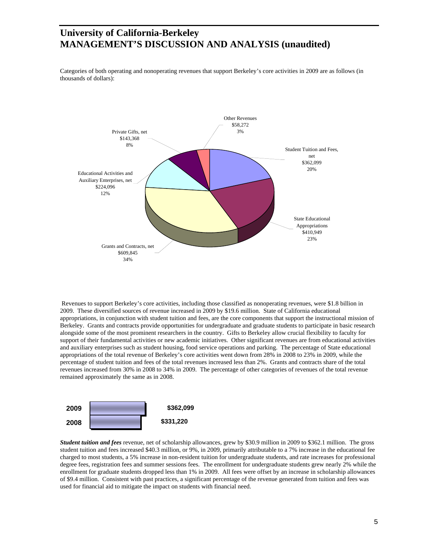Categories of both operating and nonoperating revenues that support Berkeley's core activities in 2009 are as follows (in thousands of dollars):



 Revenues to support Berkeley's core activities, including those classified as nonoperating revenues, were \$1.8 billion in 2009. These diversified sources of revenue increased in 2009 by \$19.6 million. State of California educational appropriations, in conjunction with student tuition and fees, are the core components that support the instructional mission of Berkeley. Grants and contracts provide opportunities for undergraduate and graduate students to participate in basic research alongside some of the most prominent researchers in the country. Gifts to Berkeley allow crucial flexibility to faculty for support of their fundamental activities or new academic initiatives. Other significant revenues are from educational activities and auxiliary enterprises such as student housing, food service operations and parking. The percentage of State educational appropriations of the total revenue of Berkeley's core activities went down from 28% in 2008 to 23% in 2009, while the percentage of student tuition and fees of the total revenues increased less than 2%. Grants and contracts share of the total revenues increased from 30% in 2008 to 34% in 2009. The percentage of other categories of revenues of the total revenue remained approximately the same as in 2008.



*Student tuition and fees* revenue, net of scholarship allowances, grew by \$30.9 million in 2009 to \$362.1 million. The gross student tuition and fees increased \$40.3 million, or 9%, in 2009, primarily attributable to a 7% increase in the educational fee charged to most students, a 5% increase in non-resident tuition for undergraduate students, and rate increases for professional degree fees, registration fees and summer sessions fees. The enrollment for undergraduate students grew nearly 2% while the enrollment for graduate students dropped less than 1% in 2009. All fees were offset by an increase in scholarship allowances of \$9.4 million. Consistent with past practices, a significant percentage of the revenue generated from tuition and fees was used for financial aid to mitigate the impact on students with financial need.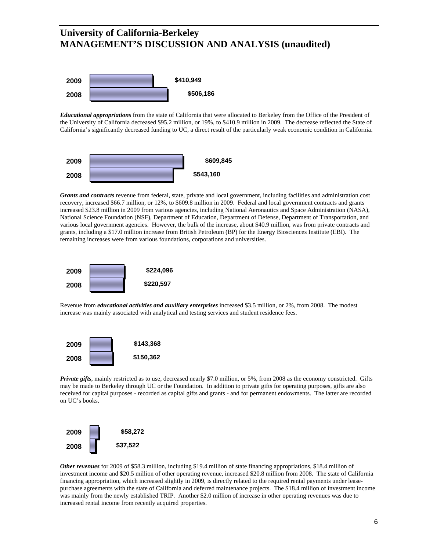

*Educational appropriations* from the state of California that were allocated to Berkeley from the Office of the President of the University of California decreased \$95.2 million, or 19%, to \$410.9 million in 2009. The decrease reflected the State of California's significantly decreased funding to UC, a direct result of the particularly weak economic condition in California.



*Grants and contracts* revenue from federal, state, private and local government, including facilities and administration cost recovery, increased \$66.7 million, or 12%, to \$609.8 million in 2009. Federal and local government contracts and grants increased \$23.8 million in 2009 from various agencies, including National Aeronautics and Space Administration (NASA), National Science Foundation (NSF), Department of Education, Department of Defense, Department of Transportation, and various local government agencies. However, the bulk of the increase, about \$40.9 million, was from private contracts and grants, including a \$17.0 million increase from British Petroleum (BP) for the Energy Biosciences Institute (EBI). The remaining increases were from various foundations, corporations and universities.



Revenue from *educational activities and auxiliary enterprises* increased \$3.5 million, or 2%, from 2008. The modest increase was mainly associated with analytical and testing services and student residence fees.



*Private gifts*, mainly restricted as to use, decreased nearly \$7.0 million, or 5%, from 2008 as the economy constricted. Gifts may be made to Berkeley through UC or the Foundation. In addition to private gifts for operating purposes, gifts are also received for capital purposes - recorded as capital gifts and grants - and for permanent endowments. The latter are recorded on UC's books.



*Other revenues* for 2009 of \$58.3 million, including \$19.4 million of state financing appropriations, \$18.4 million of investment income and \$20.5 million of other operating revenue, increased \$20.8 million from 2008. The state of California financing appropriation, which increased slightly in 2009, is directly related to the required rental payments under leasepurchase agreements with the state of California and deferred maintenance projects. The \$18.4 million of investment income was mainly from the newly established TRIP. Another \$2.0 million of increase in other operating revenues was due to increased rental income from recently acquired properties.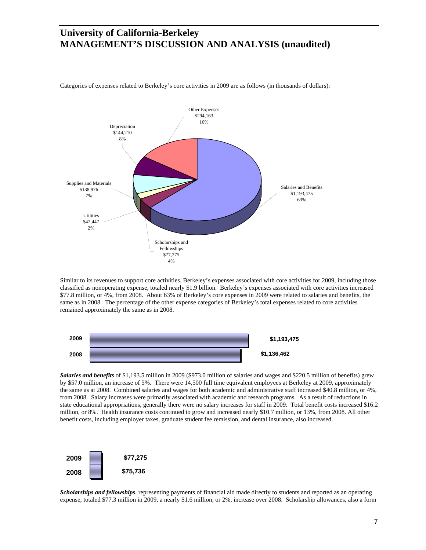

Categories of expenses related to Berkeley's core activities in 2009 are as follows (in thousands of dollars):

Similar to its revenues to support core activities, Berkeley's expenses associated with core activities for 2009, including those classified as nonoperating expense, totaled nearly \$1.9 billion. Berkeley's expenses associated with core activities increased \$77.8 million, or 4%, from 2008. About 63% of Berkeley's core expenses in 2009 were related to salaries and benefits, the same as in 2008. The percentage of the other expense categories of Berkeley's total expenses related to core activities remained approximately the same as in 2008.



*Salaries and benefits* of \$1,193.5 million in 2009 (\$973.0 million of salaries and wages and \$220.5 million of benefits) grew by \$57.0 million, an increase of 5%. There were 14,500 full time equivalent employees at Berkeley at 2009, approximately the same as at 2008. Combined salaries and wages for both academic and administrative staff increased \$40.8 million, or 4%, from 2008. Salary increases were primarily associated with academic and research programs. As a result of reductions in state educational appropriations, generally there were no salary increases for staff in 2009. Total benefit costs increased \$16.2 million, or 8%. Health insurance costs continued to grow and increased nearly \$10.7 million, or 13%, from 2008. All other benefit costs, including employer taxes, graduate student fee remission, and dental insurance, also increased.



*Scholarships and fellowships*, representing payments of financial aid made directly to students and reported as an operating expense, totaled \$77.3 million in 2009, a nearly \$1.6 million, or 2%, increase over 2008. Scholarship allowances, also a form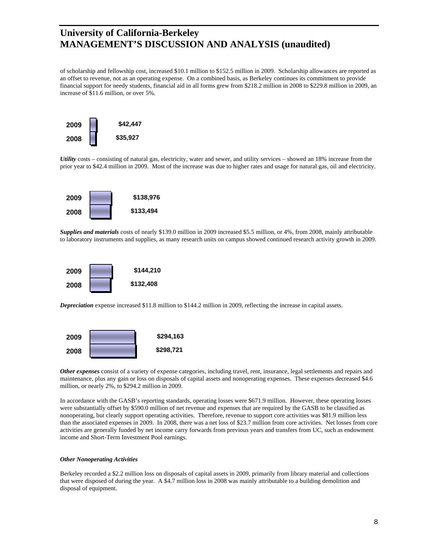of scholarship and fellowship cost, increased \$10.1 million to \$152.5 million in 2009. Scholarship allowances are reported as an offset to revenue, not as an operating expense. On a combined basis, as Berkeley continues its commitment to provide financial support for needy students, financial aid in all forms grew from \$218.2 million in 2008 to \$229.8 million in 2009, an increase of \$11.6 million, or over 5%.



*Utility* costs – consisting of natural gas, electricity, water and sewer, and utility services – showed an 18% increase from the prior year to \$42.4 million in 2009. Most of the increase was due to higher rates and usage for natural gas, oil and electricity.



*Supplies and materials* costs of nearly \$139.0 million in 2009 increased \$5.5 million, or 4%, from 2008, mainly attributable to laboratory instruments and supplies, as many research units on campus showed continued research activity growth in 2009.



*Depreciation* expense increased \$11.8 million to \$144.2 million in 2009, reflecting the increase in capital assets.



*Other expenses* consist of a variety of expense categories, including travel, rent, insurance, legal settlements and repairs and maintenance, plus any gain or loss on disposals of capital assets and nonoperating expenses. These expenses decreased \$4.6 million, or nearly 2%, to \$294.2 million in 2009.

In accordance with the GASB's reporting standards, operating losses were \$671.9 million. However, these operating losses were substantially offset by \$590.0 million of net revenue and expenses that are required by the GASB to be classified as nonoperating, but clearly support operating activities. Therefore, revenue to support core activities was \$81.9 million less than the associated expenses in 2009. In 2008, there was a net loss of \$23.7 million from core activities. Net losses from core activities are generally funded by net income carry forwards from previous years and transfers from UC, such as endowment income and Short-Term Investment Pool earnings.

#### *Other Nonoperating Activities*

Berkeley recorded a \$2.2 million loss on disposals of capital assets in 2009, primarily from library material and collections that were disposed of during the year. A \$4.7 million loss in 2008 was mainly attributable to a building demolition and disposal of equipment.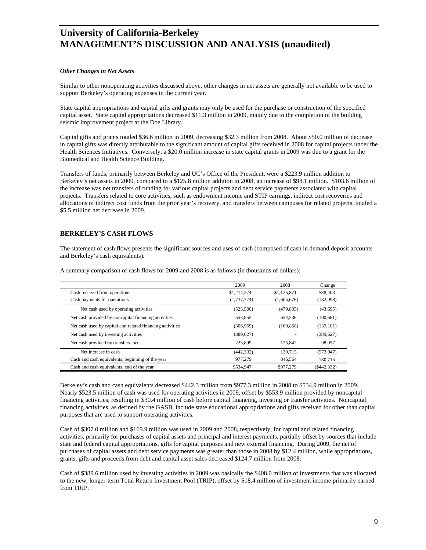#### *Other Changes in Net Assets*

Similar to other nonoperating activities discussed above, other changes in net assets are generally not available to be used to support Berkeley's operating expenses in the current year.

State capital appropriations and capital gifts and grants may only be used for the purchase or construction of the specified capital asset. State capital appropriations decreased \$11.3 million in 2009, mainly due to the completion of the building seismic improvement project at the Doe Library.

Capital gifts and grants totaled \$36.6 million in 2009, decreasing \$32.3 million from 2008. About \$50.0 million of decrease in capital gifts was directly attributable to the significant amount of capital gifts received in 2008 for capital projects under the Health Sciences Initiatives. Conversely, a \$20.0 million increase in state capital grants in 2009 was due to a grant for the Biomedical and Health Science Building.

Transfers of funds, primarily between Berkeley and UC's Office of the President, were a \$223.9 million addition to Berkeley's net assets in 2009, compared to a \$125.8 million addition in 2008, an increase of \$98.1 million. \$103.6 million of the increase was net transfers of funding for various capital projects and debt service payments associated with capital projects. Transfers related to core activities, such as endowment income and STIP earnings, indirect cost recoveries and allocations of indirect cost funds from the prior year's recovery, and transfers between campuses for related projects, totaled a \$5.5 million net decrease in 2009.

#### **BERKELEY'S CASH FLOWS**

The statement of cash flows presents the significant sources and uses of cash (composed of cash in demand deposit accounts and Berkeley's cash equivalents).

|                                                           | 2009        | 2008        | Change         |
|-----------------------------------------------------------|-------------|-------------|----------------|
| Cash received from operations                             | \$1,214,274 | \$1,125,871 | \$88,403       |
| Cash payments for operations                              | (1,737,774) | (1,605,676) | (132,098)      |
| Net cash used by operating activities                     | (523,500)   | (479, 805)  | (43,695)       |
| Net cash provided by noncapital financing activities      | 553.855     | 654.536     | (100, 681)     |
| Net cash used by capital and related financing activities | (306, 959)  | (169, 858)  | (137, 101)     |
| Net cash used by investing activities                     | (389,627)   |             | (389, 627)     |
| Net cash provided by transfers, net                       | 223.899     | 125,842     | 98,057         |
| Net increase in cash                                      | (442, 332)  | 130.715     | (573, 047)     |
| Cash and cash equivalents, beginning of the year          | 977,279     | 846,564     | 130,715        |
| Cash and cash equivalents, end of the year                | \$534,947   | \$977.279   | $($ \$442,332) |

A summary comparison of cash flows for 2009 and 2008 is as follows (in thousands of dollars):

Berkeley's cash and cash equivalents decreased \$442.3 million from \$977.3 million in 2008 to \$534.9 million in 2009. Nearly \$523.5 million of cash was used for operating activities in 2009, offset by \$553.9 million provided by noncapital financing activities, resulting in \$30.4 million of cash before capital financing, investing or transfer activities. Noncapital financing activities, as defined by the GASB, include state educational appropriations and gifts received for other than capital purposes that are used to support operating activities.

Cash of \$307.0 million and \$169.9 million was used in 2009 and 2008, respectively, for capital and related financing activities, primarily for purchases of capital assets and principal and interest payments, partially offset by sources that include state and federal capital appropriations, gifts for capital purposes and new external financing. During 2009, the net of purchases of capital assets and debt service payments was greater than those in 2008 by \$12.4 million, while appropriations, grants, gifts and proceeds from debt and capital asset sales decreased \$124.7 million from 2008.

Cash of \$389.6 million used by investing activities in 2009 was basically the \$408.0 million of investments that was allocated to the new, longer-term Total Return Investment Pool (TRIP), offset by \$18.4 million of investment income primarily earned from TRIP.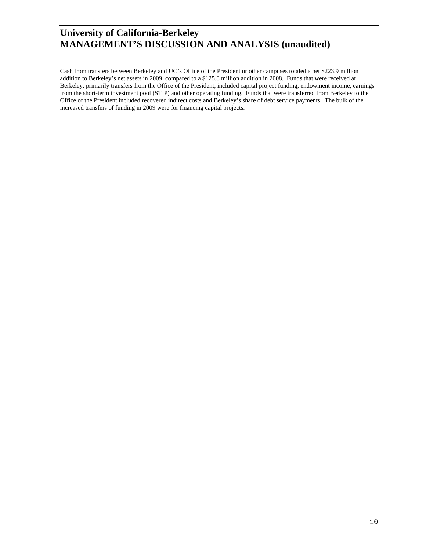Cash from transfers between Berkeley and UC's Office of the President or other campuses totaled a net \$223.9 million addition to Berkeley's net assets in 2009, compared to a \$125.8 million addition in 2008. Funds that were received at Berkeley, primarily transfers from the Office of the President, included capital project funding, endowment income, earnings from the short-term investment pool (STIP) and other operating funding. Funds that were transferred from Berkeley to the Office of the President included recovered indirect costs and Berkeley's share of debt service payments. The bulk of the increased transfers of funding in 2009 were for financing capital projects.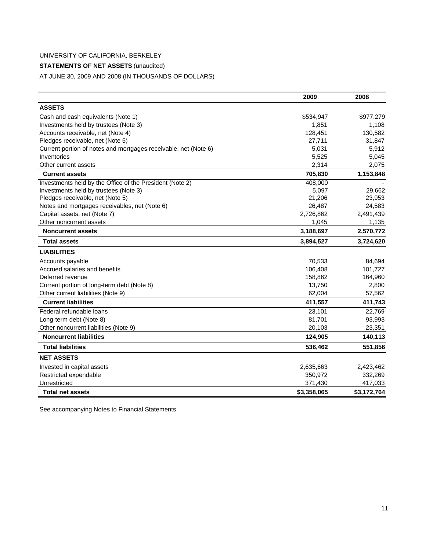### **STATEMENTS OF NET ASSETS** (unaudited)

AT JUNE 30, 2009 AND 2008 (IN THOUSANDS OF DOLLARS)

|                                                                 | 2009        | 2008        |
|-----------------------------------------------------------------|-------------|-------------|
| <b>ASSETS</b>                                                   |             |             |
| Cash and cash equivalents (Note 1)                              | \$534,947   | \$977,279   |
| Investments held by trustees (Note 3)                           | 1,851       | 1,108       |
| Accounts receivable, net (Note 4)                               | 128,451     | 130,582     |
| Pledges receivable, net (Note 5)                                | 27,711      | 31,847      |
| Current portion of notes and mortgages receivable, net (Note 6) | 5,031       | 5,912       |
| Inventories                                                     | 5,525       | 5,045       |
| Other current assets                                            | 2,314       | 2,075       |
| <b>Current assets</b>                                           | 705,830     | 1,153,848   |
| Investments held by the Office of the President (Note 2)        | 408,000     |             |
| Investments held by trustees (Note 3)                           | 5,097       | 29,662      |
| Pledges receivable, net (Note 5)                                | 21,206      | 23,953      |
| Notes and mortgages receivables, net (Note 6)                   | 26,487      | 24,583      |
| Capital assets, net (Note 7)                                    | 2,726,862   | 2,491,439   |
| Other noncurrent assets                                         | 1,045       | 1,135       |
| <b>Noncurrent assets</b>                                        | 3,188,697   | 2,570,772   |
| <b>Total assets</b>                                             | 3,894,527   | 3,724,620   |
| <b>LIABILITIES</b>                                              |             |             |
| Accounts payable                                                | 70,533      | 84,694      |
| Accrued salaries and benefits                                   | 106,408     | 101,727     |
| Deferred revenue                                                | 158,862     | 164,960     |
| Current portion of long-term debt (Note 8)                      | 13,750      | 2,800       |
| Other current liabilities (Note 9)                              | 62,004      | 57,562      |
| <b>Current liabilities</b>                                      | 411,557     | 411,743     |
| Federal refundable loans                                        | 23,101      | 22,769      |
| Long-term debt (Note 8)                                         | 81,701      | 93,993      |
| Other noncurrent liabilities (Note 9)                           | 20,103      | 23,351      |
| <b>Noncurrent liabilities</b>                                   | 124,905     | 140,113     |
| <b>Total liabilities</b>                                        | 536,462     | 551,856     |
| <b>NET ASSETS</b>                                               |             |             |
| Invested in capital assets                                      | 2,635,663   | 2,423,462   |
| Restricted expendable                                           | 350,972     | 332,269     |
| Unrestricted                                                    | 371,430     | 417,033     |
| <b>Total net assets</b>                                         | \$3,358,065 | \$3,172,764 |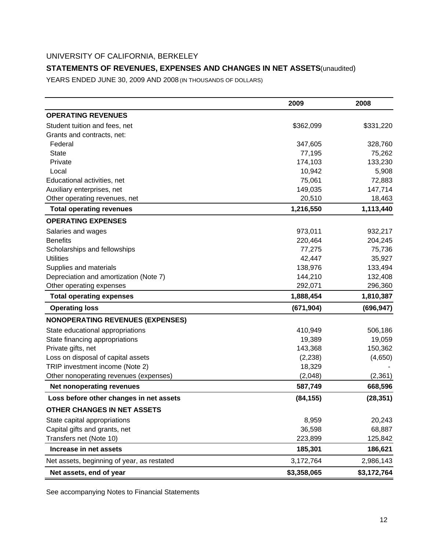### **STATEMENTS OF REVENUES, EXPENSES AND CHANGES IN NET ASSETS (unaudited)**

YEARS ENDED JUNE 30, 2009 AND 2008 (IN THOUSANDS OF DOLLARS)

|                                            | 2009        | 2008        |
|--------------------------------------------|-------------|-------------|
| <b>OPERATING REVENUES</b>                  |             |             |
| Student tuition and fees, net              | \$362,099   | \$331,220   |
| Grants and contracts, net:                 |             |             |
| Federal                                    | 347,605     | 328,760     |
| <b>State</b>                               | 77,195      | 75,262      |
| Private                                    | 174,103     | 133,230     |
| Local                                      | 10,942      | 5,908       |
| Educational activities, net                | 75,061      | 72,883      |
| Auxiliary enterprises, net                 | 149,035     | 147,714     |
| Other operating revenues, net              | 20,510      | 18,463      |
| <b>Total operating revenues</b>            | 1,216,550   | 1,113,440   |
| <b>OPERATING EXPENSES</b>                  |             |             |
| Salaries and wages                         | 973,011     | 932,217     |
| <b>Benefits</b>                            | 220,464     | 204,245     |
| Scholarships and fellowships               | 77,275      | 75,736      |
| <b>Utilities</b>                           | 42,447      | 35,927      |
| Supplies and materials                     | 138,976     | 133,494     |
| Depreciation and amortization (Note 7)     | 144,210     | 132,408     |
| Other operating expenses                   | 292,071     | 296,360     |
| <b>Total operating expenses</b>            | 1,888,454   | 1,810,387   |
| <b>Operating loss</b>                      | (671, 904)  | (696, 947)  |
| <b>NONOPERATING REVENUES (EXPENSES)</b>    |             |             |
| State educational appropriations           | 410,949     | 506,186     |
| State financing appropriations             | 19,389      | 19,059      |
| Private gifts, net                         | 143,368     | 150,362     |
| Loss on disposal of capital assets         | (2, 238)    | (4,650)     |
| TRIP investment income (Note 2)            | 18,329      |             |
| Other nonoperating revenues (expenses)     | (2,048)     | (2, 361)    |
| <b>Net nonoperating revenues</b>           | 587,749     | 668,596     |
| Loss before other changes in net assets    | (84, 155)   | (28, 351)   |
| OTHER CHANGES IN NET ASSETS                |             |             |
| State capital appropriations               | 8,959       | 20,243      |
| Capital gifts and grants, net              | 36,598      | 68,887      |
| Transfers net (Note 10)                    | 223,899     | 125,842     |
| Increase in net assets                     | 185,301     | 186,621     |
| Net assets, beginning of year, as restated | 3,172,764   | 2,986,143   |
| Net assets, end of year                    | \$3,358,065 | \$3,172,764 |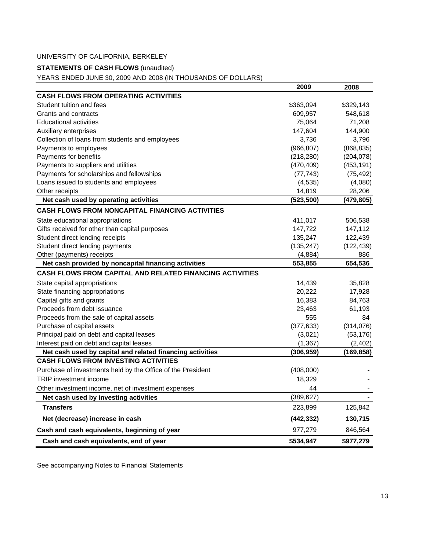### **STATEMENTS OF CASH FLOWS** (unaudited)

YEARS ENDED JUNE 30, 2009 AND 2008 (IN THOUSANDS OF DOLLARS)

|                                                                 | 2009       | 2008       |
|-----------------------------------------------------------------|------------|------------|
| <b>CASH FLOWS FROM OPERATING ACTIVITIES</b>                     |            |            |
| Student tuition and fees                                        | \$363,094  | \$329,143  |
| Grants and contracts                                            | 609,957    | 548,618    |
| <b>Educational activities</b>                                   | 75,064     | 71,208     |
| Auxiliary enterprises                                           | 147,604    | 144,900    |
| Collection of loans from students and employees                 | 3,736      | 3,796      |
| Payments to employees                                           | (966, 807) | (868, 835) |
| Payments for benefits                                           | (218, 280) | (204, 078) |
| Payments to suppliers and utilities                             | (470, 409) | (453, 191) |
| Payments for scholarships and fellowships                       | (77, 743)  | (75, 492)  |
| Loans issued to students and employees                          | (4, 535)   | (4,080)    |
| Other receipts                                                  | 14,819     | 28,206     |
| Net cash used by operating activities                           | (523, 500) | (479, 805) |
| <b>CASH FLOWS FROM NONCAPITAL FINANCING ACTIVITIES</b>          |            |            |
| State educational appropriations                                | 411,017    | 506,538    |
| Gifts received for other than capital purposes                  | 147,722    | 147,112    |
| Student direct lending receipts                                 | 135,247    | 122,439    |
| Student direct lending payments                                 | (135, 247) | (122, 439) |
| Other (payments) receipts                                       | (4,884)    | 886        |
| Net cash provided by noncapital financing activities            | 553,855    | 654.536    |
| <b>CASH FLOWS FROM CAPITAL AND RELATED FINANCING ACTIVITIES</b> |            |            |
| State capital appropriations                                    | 14,439     | 35,828     |
| State financing appropriations                                  | 20,222     | 17,928     |
| Capital gifts and grants                                        | 16,383     | 84,763     |
| Proceeds from debt issuance                                     | 23,463     | 61,193     |
| Proceeds from the sale of capital assets                        | 555        | 84         |
| Purchase of capital assets                                      | (377, 633) | (314, 076) |
| Principal paid on debt and capital leases                       | (3,021)    | (53, 176)  |
| Interest paid on debt and capital leases                        | (1, 367)   | (2, 402)   |
| Net cash used by capital and related financing activities       | (306, 959) | (169, 858) |
| <b>CASH FLOWS FROM INVESTING ACTIVITIES</b>                     |            |            |
| Purchase of investments held by the Office of the President     | (408,000)  |            |
| <b>TRIP</b> investment income                                   | 18,329     |            |
| Other investment income, net of investment expenses             | 44         |            |
| Net cash used by investing activities                           | (389, 627) |            |
| <b>Transfers</b>                                                | 223,899    | 125,842    |
| Net (decrease) increase in cash                                 | (442, 332) | 130,715    |
| Cash and cash equivalents, beginning of year                    | 977,279    | 846,564    |
| Cash and cash equivalents, end of year                          | \$534,947  | \$977,279  |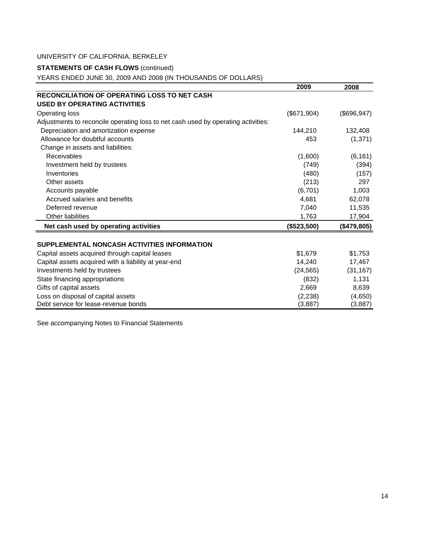### **STATEMENTS OF CASH FLOWS** (continued)

YEARS ENDED JUNE 30, 2009 AND 2008 (IN THOUSANDS OF DOLLARS)

|                                                                                   | 2009        | 2008         |
|-----------------------------------------------------------------------------------|-------------|--------------|
| <b>RECONCILIATION OF OPERATING LOSS TO NET CASH</b>                               |             |              |
| <b>USED BY OPERATING ACTIVITIES</b>                                               |             |              |
| <b>Operating loss</b>                                                             | (\$671,904) | (\$696, 947) |
| Adjustments to reconcile operating loss to net cash used by operating activities: |             |              |
| Depreciation and amortization expense                                             | 144,210     | 132,408      |
| Allowance for doubtful accounts                                                   | 453         | (1, 371)     |
| Change in assets and liabilities:                                                 |             |              |
| Receivables                                                                       | (1,600)     | (6, 161)     |
| Investment held by trustees                                                       | (749)       | (394)        |
| Inventories                                                                       | (480)       | (157)        |
| Other assets                                                                      | (213)       | 297          |
| Accounts payable                                                                  | (6,701)     | 1,003        |
| Accrued salaries and benefits                                                     | 4,681       | 62,078       |
| Deferred revenue                                                                  | 7,040       | 11,535       |
| <b>Other liabilities</b>                                                          | 1,763       | 17,904       |
| Net cash used by operating activities                                             | (\$523,500) | (\$479,805)  |
|                                                                                   |             |              |
| SUPPLEMENTAL NONCASH ACTIVITIES INFORMATION                                       |             |              |
| Capital assets acquired through capital leases                                    | \$1,679     | \$1,753      |
| Capital assets acquired with a liability at year-end                              | 14,240      | 17,467       |
| Investments held by trustees                                                      | (24, 565)   | (31, 167)    |
| State financing appropriations                                                    | (832)       | 1,131        |
| Gifts of capital assets                                                           | 2,669       | 8,639        |
| Loss on disposal of capital assets                                                | (2,238)     | (4,650)      |
| Debt service for lease-revenue bonds                                              | (3,887)     | (3,887)      |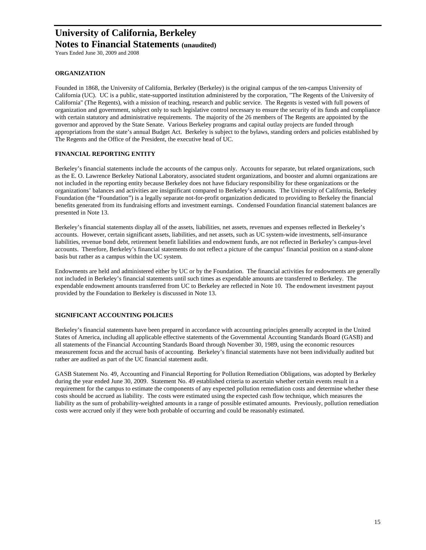Years Ended June 30, 2009 and 2008

#### **ORGANIZATION**

Founded in 1868, the University of California, Berkeley (Berkeley) is the original campus of the ten-campus University of California (UC). UC is a public, state-supported institution administered by the corporation, "The Regents of the University of California" (The Regents), with a mission of teaching, research and public service. The Regents is vested with full powers of organization and government, subject only to such legislative control necessary to ensure the security of its funds and compliance with certain statutory and administrative requirements. The majority of the 26 members of The Regents are appointed by the governor and approved by the State Senate. Various Berkeley programs and capital outlay projects are funded through appropriations from the state's annual Budget Act. Berkeley is subject to the bylaws, standing orders and policies established by The Regents and the Office of the President, the executive head of UC.

#### **FINANCIAL REPORTING ENTITY**

Berkeley's financial statements include the accounts of the campus only. Accounts for separate, but related organizations, such as the E. O. Lawrence Berkeley National Laboratory, associated student organizations, and booster and alumni organizations are not included in the reporting entity because Berkeley does not have fiduciary responsibility for these organizations or the organizations' balances and activities are insignificant compared to Berkeley's amounts. The University of California, Berkeley Foundation (the "Foundation") is a legally separate not-for-profit organization dedicated to providing to Berkeley the financial benefits generated from its fundraising efforts and investment earnings. Condensed Foundation financial statement balances are presented in Note 13.

Berkeley's financial statements display all of the assets, liabilities, net assets, revenues and expenses reflected in Berkeley's accounts. However, certain significant assets, liabilities, and net assets, such as UC system-wide investments, self-insurance liabilities, revenue bond debt, retirement benefit liabilities and endowment funds, are not reflected in Berkeley's campus-level accounts. Therefore, Berkeley's financial statements do not reflect a picture of the campus' financial position on a stand-alone basis but rather as a campus within the UC system.

Endowments are held and administered either by UC or by the Foundation. The financial activities for endowments are generally not included in Berkeley's financial statements until such times as expendable amounts are transferred to Berkeley. The expendable endowment amounts transferred from UC to Berkeley are reflected in Note 10. The endowment investment payout provided by the Foundation to Berkeley is discussed in Note 13.

#### **SIGNIFICANT ACCOUNTING POLICIES**

Berkeley's financial statements have been prepared in accordance with accounting principles generally accepted in the United States of America, including all applicable effective statements of the Governmental Accounting Standards Board (GASB) and all statements of the Financial Accounting Standards Board through November 30, 1989, using the economic resources measurement focus and the accrual basis of accounting. Berkeley's financial statements have not been individually audited but rather are audited as part of the UC financial statement audit.

GASB Statement No. 49, Accounting and Financial Reporting for Pollution Remediation Obligations, was adopted by Berkeley during the year ended June 30, 2009. Statement No. 49 established criteria to ascertain whether certain events result in a requirement for the campus to estimate the components of any expected pollution remediation costs and determine whether these costs should be accrued as liability. The costs were estimated using the expected cash flow technique, which measures the liability as the sum of probability-weighted amounts in a range of possible estimated amounts. Previously, pollution remediation costs were accrued only if they were both probable of occurring and could be reasonably estimated.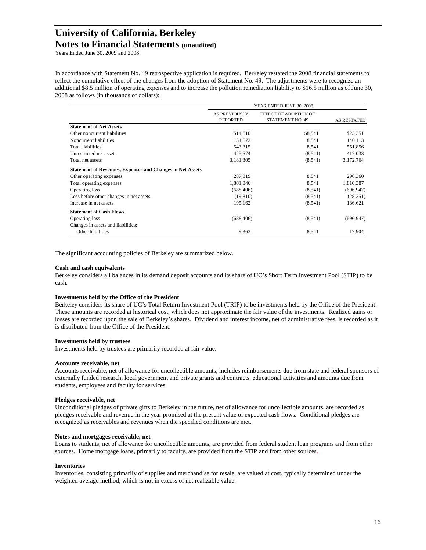Years Ended June 30, 2009 and 2008

In accordance with Statement No. 49 retrospective application is required. Berkeley restated the 2008 financial statements to reflect the cumulative effect of the changes from the adoption of Statement No. 49. The adjustments were to recognize an additional \$8.5 million of operating expenses and to increase the pollution remediation liability to \$16.5 million as of June 30, 2008 as follows (in thousands of dollars):

|                                                                  |                                  | YEAR ENDED JUNE 30, 2008                         |                    |  |  |
|------------------------------------------------------------------|----------------------------------|--------------------------------------------------|--------------------|--|--|
|                                                                  | AS PREVIOUSLY<br><b>REPORTED</b> | EFFECT OF ADOPTION OF<br><b>STATEMENT NO. 49</b> | <b>AS RESTATED</b> |  |  |
| <b>Statement of Net Assets</b>                                   |                                  |                                                  |                    |  |  |
| Other noncurrent liabilities                                     | \$14,810                         | \$8,541                                          | \$23,351           |  |  |
| Noncurrent liabilities                                           | 131,572                          | 8,541                                            | 140,113            |  |  |
| <b>Total liabilities</b>                                         | 543,315                          | 8,541                                            | 551,856            |  |  |
| Unrestricted net assets                                          | 425,574                          | (8, 541)                                         | 417,033            |  |  |
| Total net assets                                                 | 3,181,305                        | (8, 541)                                         | 3,172,764          |  |  |
| <b>Statement of Revenues, Expenses and Changes in Net Assets</b> |                                  |                                                  |                    |  |  |
| Other operating expenses                                         | 287,819                          | 8,541                                            | 296,360            |  |  |
| Total operating expenses                                         | 1,801,846                        | 8,541                                            | 1,810,387          |  |  |
| Operating loss                                                   | (688, 406)                       | (8, 541)                                         | (696, 947)         |  |  |
| Loss before other changes in net assets                          | (19, 810)                        | (8, 541)                                         | (28, 351)          |  |  |
| Increase in net assets                                           | 195,162                          | (8, 541)                                         | 186,621            |  |  |
| <b>Statement of Cash Flows</b>                                   |                                  |                                                  |                    |  |  |
| Operating loss                                                   | (688, 406)                       | (8,541)                                          | (696, 947)         |  |  |
| Changes in assets and liabilities:                               |                                  |                                                  |                    |  |  |
| Other liabilities                                                | 9,363                            | 8,541                                            | 17,904             |  |  |

The significant accounting policies of Berkeley are summarized below.

#### **Cash and cash equivalents**

Berkeley considers all balances in its demand deposit accounts and its share of UC's Short Term Investment Pool (STIP) to be cash.

#### **Investments held by the Office of the President**

Berkeley considers its share of UC's Total Return Investment Pool (TRIP) to be investments held by the Office of the President. These amounts are recorded at historical cost, which does not approximate the fair value of the investments. Realized gains or losses are recorded upon the sale of Berkeley's shares. Dividend and interest income, net of administrative fees, is recorded as it is distributed from the Office of the President.

#### **Investments held by trustees**

Investments held by trustees are primarily recorded at fair value.

#### **Accounts receivable, net**

Accounts receivable, net of allowance for uncollectible amounts, includes reimbursements due from state and federal sponsors of externally funded research, local government and private grants and contracts, educational activities and amounts due from students, employees and faculty for services.

#### **Pledges receivable, net**

Unconditional pledges of private gifts to Berkeley in the future, net of allowance for uncollectible amounts, are recorded as pledges receivable and revenue in the year promised at the present value of expected cash flows. Conditional pledges are recognized as receivables and revenues when the specified conditions are met.

#### **Notes and mortgages receivable, net**

Loans to students, net of allowance for uncollectible amounts, are provided from federal student loan programs and from other sources. Home mortgage loans, primarily to faculty, are provided from the STIP and from other sources.

#### **Inventories**

Inventories, consisting primarily of supplies and merchandise for resale, are valued at cost, typically determined under the weighted average method, which is not in excess of net realizable value.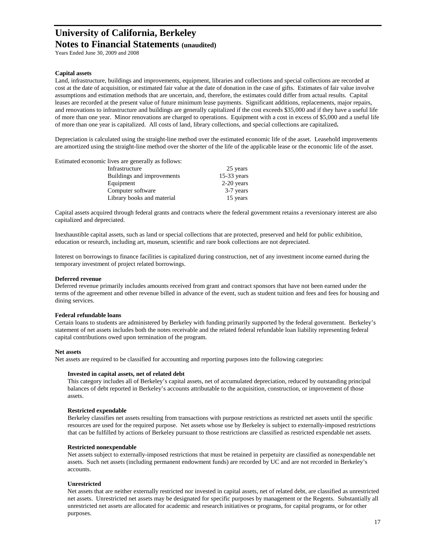Years Ended June 30, 2009 and 2008

#### **Capital assets**

Land, infrastructure, buildings and improvements, equipment, libraries and collections and special collections are recorded at cost at the date of acquisition, or estimated fair value at the date of donation in the case of gifts. Estimates of fair value involve assumptions and estimation methods that are uncertain, and, therefore, the estimates could differ from actual results. Capital leases are recorded at the present value of future minimum lease payments. Significant additions, replacements, major repairs, and renovations to infrastructure and buildings are generally capitalized if the cost exceeds \$35,000 and if they have a useful life of more than one year. Minor renovations are charged to operations. Equipment with a cost in excess of \$5,000 and a useful life of more than one year is capitalized. All costs of land, library collections, and special collections are capitalized**.** 

Depreciation is calculated using the straight-line method over the estimated economic life of the asset. Leasehold improvements are amortized using the straight-line method over the shorter of the life of the applicable lease or the economic life of the asset.

| Estimated economic lives are generally as follows: |               |
|----------------------------------------------------|---------------|
| Infrastructure                                     | 25 years      |
| Buildings and improvements                         | $15-33$ years |
| Equipment                                          | $2-20$ years  |
| Computer software                                  | 3-7 years     |
| Library books and material                         | 15 years      |

Capital assets acquired through federal grants and contracts where the federal government retains a reversionary interest are also capitalized and depreciated.

Inexhaustible capital assets, such as land or special collections that are protected, preserved and held for public exhibition, education or research, including art, museum, scientific and rare book collections are not depreciated.

Interest on borrowings to finance facilities is capitalized during construction, net of any investment income earned during the temporary investment of project related borrowings.

#### **Deferred revenue**

Deferred revenue primarily includes amounts received from grant and contract sponsors that have not been earned under the terms of the agreement and other revenue billed in advance of the event, such as student tuition and fees and fees for housing and dining services.

#### **Federal refundable loans**

Certain loans to students are administered by Berkeley with funding primarily supported by the federal government. Berkeley's statement of net assets includes both the notes receivable and the related federal refundable loan liability representing federal capital contributions owed upon termination of the program.

#### **Net assets**

Net assets are required to be classified for accounting and reporting purposes into the following categories:

#### **Invested in capital assets, net of related debt**

This category includes all of Berkeley's capital assets, net of accumulated depreciation, reduced by outstanding principal balances of debt reported in Berkeley's accounts attributable to the acquisition, construction, or improvement of those assets.

#### **Restricted expendable**

Berkeley classifies net assets resulting from transactions with purpose restrictions as restricted net assets until the specific resources are used for the required purpose. Net assets whose use by Berkeley is subject to externally-imposed restrictions that can be fulfilled by actions of Berkeley pursuant to those restrictions are classified as restricted expendable net assets.

#### **Restricted nonexpendable**

Net assets subject to externally-imposed restrictions that must be retained in perpetuity are classified as nonexpendable net assets. Such net assets (including permanent endowment funds) are recorded by UC and are not recorded in Berkeley's accounts.

#### **Unrestricted**

Net assets that are neither externally restricted nor invested in capital assets, net of related debt, are classified as unrestricted net assets. Unrestricted net assets may be designated for specific purposes by management or the Regents. Substantially all unrestricted net assets are allocated for academic and research initiatives or programs, for capital programs, or for other purposes.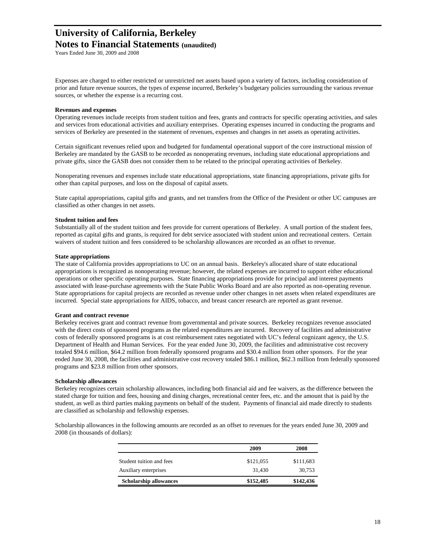Years Ended June 30, 2009 and 2008

Expenses are charged to either restricted or unrestricted net assets based upon a variety of factors, including consideration of prior and future revenue sources, the types of expense incurred, Berkeley's budgetary policies surrounding the various revenue sources, or whether the expense is a recurring cost.

#### **Revenues and expenses**

Operating revenues include receipts from student tuition and fees, grants and contracts for specific operating activities, and sales and services from educational activities and auxiliary enterprises. Operating expenses incurred in conducting the programs and services of Berkeley are presented in the statement of revenues, expenses and changes in net assets as operating activities.

Certain significant revenues relied upon and budgeted for fundamental operational support of the core instructional mission of Berkeley are mandated by the GASB to be recorded as nonoperating revenues, including state educational appropriations and private gifts, since the GASB does not consider them to be related to the principal operating activities of Berkeley.

Nonoperating revenues and expenses include state educational appropriations, state financing appropriations, private gifts for other than capital purposes, and loss on the disposal of capital assets.

State capital appropriations, capital gifts and grants, and net transfers from the Office of the President or other UC campuses are classified as other changes in net assets.

#### **Student tuition and fees**

Substantially all of the student tuition and fees provide for current operations of Berkeley. A small portion of the student fees, reported as capital gifts and grants, is required for debt service associated with student union and recreational centers. Certain waivers of student tuition and fees considered to be scholarship allowances are recorded as an offset to revenue.

#### **State appropriations**

The state of California provides appropriations to UC on an annual basis. Berkeley's allocated share of state educational appropriations is recognized as nonoperating revenue; however, the related expenses are incurred to support either educational operations or other specific operating purposes. State financing appropriations provide for principal and interest payments associated with lease-purchase agreements with the State Public Works Board and are also reported as non-operating revenue. State appropriations for capital projects are recorded as revenue under other changes in net assets when related expenditures are incurred. Special state appropriations for AIDS, tobacco, and breast cancer research are reported as grant revenue.

#### **Grant and contract revenue**

Berkeley receives grant and contract revenue from governmental and private sources. Berkeley recognizes revenue associated with the direct costs of sponsored programs as the related expenditures are incurred. Recovery of facilities and administrative costs of federally sponsored programs is at cost reimbursement rates negotiated with UC's federal cognizant agency, the U.S. Department of Health and Human Services. For the year ended June 30, 2009, the facilities and administrative cost recovery totaled \$94.6 million, \$64.2 million from federally sponsored programs and \$30.4 million from other sponsors. For the year ended June 30, 2008, the facilities and administrative cost recovery totaled \$86.1 million, \$62.3 million from federally sponsored programs and \$23.8 million from other sponsors.

#### **Scholarship allowances**

Berkeley recognizes certain scholarship allowances, including both financial aid and fee waivers, as the difference between the stated charge for tuition and fees, housing and dining charges, recreational center fees, etc. and the amount that is paid by the student, as well as third parties making payments on behalf of the student. Payments of financial aid made directly to students are classified as scholarship and fellowship expenses.

Scholarship allowances in the following amounts are recorded as an offset to revenues for the years ended June 30, 2009 and 2008 (in thousands of dollars):

|                               | 2009      | 2008      |
|-------------------------------|-----------|-----------|
| Student tuition and fees      | \$121,055 | \$111,683 |
| Auxiliary enterprises         | 31.430    | 30,753    |
| <b>Scholarship allowances</b> | \$152,485 | \$142,436 |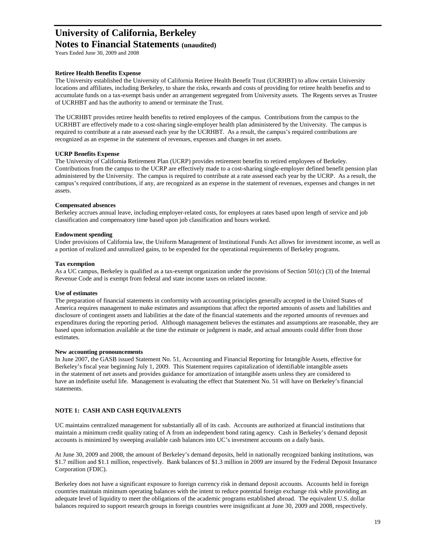Years Ended June 30, 2009 and 2008

#### **Retiree Health Benefits Expense**

The University established the University of California Retiree Health Benefit Trust (UCRHBT) to allow certain University locations and affiliates, including Berkeley, to share the risks, rewards and costs of providing for retiree health benefits and to accumulate funds on a tax-exempt basis under an arrangement segregated from University assets. The Regents serves as Trustee of UCRHBT and has the authority to amend or terminate the Trust.

The UCRHBT provides retiree health benefits to retired employees of the campus. Contributions from the campus to the UCRHBT are effectively made to a cost-sharing single-employer health plan administered by the University. The campus is required to contribute at a rate assessed each year by the UCRHBT. As a result, the campus's required contributions are recognized as an expense in the statement of revenues, expenses and changes in net assets.

#### **UCRP Benefits Expense**

The University of California Retirement Plan (UCRP) provides retirement benefits to retired employees of Berkeley. Contributions from the campus to the UCRP are effectively made to a cost-sharing single-employer defined benefit pension plan administered by the University. The campus is required to contribute at a rate assessed each year by the UCRP. As a result, the campus's required contributions, if any, are recognized as an expense in the statement of revenues, expenses and changes in net assets.

#### **Compensated absences**

Berkeley accrues annual leave, including employer-related costs, for employees at rates based upon length of service and job classification and compensatory time based upon job classification and hours worked.

#### **Endowment spending**

Under provisions of California law, the Uniform Management of Institutional Funds Act allows for investment income, as well as a portion of realized and unrealized gains, to be expended for the operational requirements of Berkeley programs.

#### **Tax exemption**

As a UC campus, Berkeley is qualified as a tax-exempt organization under the provisions of Section  $501(c)$  (3) of the Internal Revenue Code and is exempt from federal and state income taxes on related income.

#### **Use of estimates**

The preparation of financial statements in conformity with accounting principles generally accepted in the United States of America requires management to make estimates and assumptions that affect the reported amounts of assets and liabilities and disclosure of contingent assets and liabilities at the date of the financial statements and the reported amounts of revenues and expenditures during the reporting period. Although management believes the estimates and assumptions are reasonable, they are based upon information available at the time the estimate or judgment is made, and actual amounts could differ from those estimates.

#### **New accounting pronouncements**

In June 2007, the GASB issued Statement No. 51, Accounting and Financial Reporting for Intangible Assets, effective for Berkeley's fiscal year beginning July 1, 2009. This Statement requires capitalization of identifiable intangible assets in the statement of net assets and provides guidance for amortization of intangible assets unless they are considered to have an indefinite useful life. Management is evaluating the effect that Statement No. 51 will have on Berkeley's financial statements.

#### **NOTE 1: CASH AND CASH EQUIVALENTS**

UC maintains centralized management for substantially all of its cash. Accounts are authorized at financial institutions that maintain a minimum credit quality rating of A from an independent bond rating agency. Cash in Berkeley's demand deposit accounts is minimized by sweeping available cash balances into UC's investment accounts on a daily basis.

At June 30, 2009 and 2008, the amount of Berkeley's demand deposits, held in nationally recognized banking institutions, was \$1.7 million and \$1.1 million, respectively. Bank balances of \$1.3 million in 2009 are insured by the Federal Deposit Insurance Corporation (FDIC).

Berkeley does not have a significant exposure to foreign currency risk in demand deposit accounts. Accounts held in foreign countries maintain minimum operating balances with the intent to reduce potential foreign exchange risk while providing an adequate level of liquidity to meet the obligations of the academic programs established abroad. The equivalent U.S. dollar balances required to support research groups in foreign countries were insignificant at June 30, 2009 and 2008, respectively.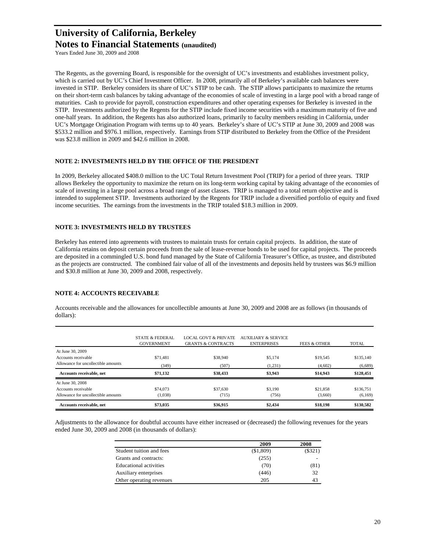Years Ended June 30, 2009 and 2008

The Regents, as the governing Board, is responsible for the oversight of UC's investments and establishes investment policy, which is carried out by UC's Chief Investment Officer. In 2008, primarily all of Berkeley's available cash balances were invested in STIP. Berkeley considers its share of UC's STIP to be cash. The STIP allows participants to maximize the returns on their short-term cash balances by taking advantage of the economies of scale of investing in a large pool with a broad range of maturities. Cash to provide for payroll, construction expenditures and other operating expenses for Berkeley is invested in the STIP. Investments authorized by the Regents for the STIP include fixed income securities with a maximum maturity of five and one-half years. In addition, the Regents has also authorized loans, primarily to faculty members residing in California, under UC's Mortgage Origination Program with terms up to 40 years. Berkeley's share of UC's STIP at June 30, 2009 and 2008 was \$533.2 million and \$976.1 million, respectively. Earnings from STIP distributed to Berkeley from the Office of the President was \$23.8 million in 2009 and \$42.6 million in 2008.

#### **NOTE 2: INVESTMENTS HELD BY THE OFFICE OF THE PRESIDENT**

In 2009, Berkeley allocated \$408.0 million to the UC Total Return Investment Pool (TRIP) for a period of three years. TRIP allows Berkeley the opportunity to maximize the return on its long-term working capital by taking advantage of the economies of scale of investing in a large pool across a broad range of asset classes. TRIP is managed to a total return objective and is intended to supplement STIP. Investments authorized by the Regents for TRIP include a diversified portfolio of equity and fixed income securities. The earnings from the investments in the TRIP totaled \$18.3 million in 2009.

#### **NOTE 3: INVESTMENTS HELD BY TRUSTEES**

Berkeley has entered into agreements with trustees to maintain trusts for certain capital projects. In addition, the state of California retains on deposit certain proceeds from the sale of lease-revenue bonds to be used for capital projects. The proceeds are deposited in a commingled U.S. bond fund managed by the State of California Treasurer's Office, as trustee, and distributed as the projects are constructed. The combined fair value of all of the investments and deposits held by trustees was \$6.9 million and \$30.8 million at June 30, 2009 and 2008, respectively.

#### **NOTE 4: ACCOUNTS RECEIVABLE**

Accounts receivable and the allowances for uncollectible amounts at June 30, 2009 and 2008 are as follows (in thousands of dollars):

|                                     | <b>STATE &amp; FEDERAL</b><br><b>GOVERNMENT</b> | <b>LOCAL GOVT &amp; PRIVATE</b><br><b>GRANTS &amp; CONTRACTS</b> | AUXILIARY & SERVICE<br><b>ENTERPRISES</b> | FEES & OTHER | <b>TOTAL</b> |
|-------------------------------------|-------------------------------------------------|------------------------------------------------------------------|-------------------------------------------|--------------|--------------|
| At June 30, 2009                    |                                                 |                                                                  |                                           |              |              |
| Accounts receivable                 | \$71.481                                        | \$38,940                                                         | \$5,174                                   | \$19,545     | \$135,140    |
| Allowance for uncollectible amounts | (349)                                           | (507)                                                            | (1,231)                                   | (4,602)      | (6,689)      |
| Accounts receivable, net            | \$71,132                                        | \$38,433                                                         | \$3,943                                   | \$14,943     | \$128,451    |
| At June 30, 2008                    |                                                 |                                                                  |                                           |              |              |
| Accounts receivable                 | \$74,073                                        | \$37,630                                                         | \$3,190                                   | \$21.858     | \$136,751    |
| Allowance for uncollectible amounts | (1,038)                                         | (715)                                                            | (756)                                     | (3,660)      | (6,169)      |
| Accounts receivable, net            | \$73,035                                        | \$36,915                                                         | \$2,434                                   | \$18,198     | \$130,582    |

Adjustments to the allowance for doubtful accounts have either increased or (decreased) the following revenues for the years ended June 30, 2009 and 2008 (in thousands of dollars):

|                               | 2009      | 2008    |
|-------------------------------|-----------|---------|
| Student tuition and fees      | (\$1,809) | (\$321) |
| Grants and contracts:         | (255)     |         |
| <b>Educational activities</b> | (70)      | (81)    |
| Auxiliary enterprises         | (446)     | 32      |
| Other operating revenues      | 205       | 43      |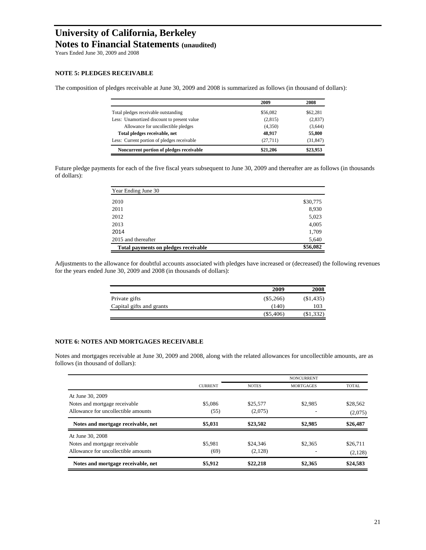Years Ended June 30, 2009 and 2008

#### **NOTE 5: PLEDGES RECEIVABLE**

The composition of pledges receivable at June 30, 2009 and 2008 is summarized as follows (in thousand of dollars):

|                                             | 2009     | 2008      |
|---------------------------------------------|----------|-----------|
| Total pledges receivable outstanding        | \$56,082 | \$62,281  |
| Less: Unamortized discount to present value | (2,815)  | (2,837)   |
| Allowance for uncollectible pledges         | (4,350)  | (3,644)   |
| Total pledges receivable, net               | 48.917   | 55,800    |
| Less: Current portion of pledges receivable | (27,711) | (31, 847) |
| Noncurrent portion of pledges receivable    | \$21.206 | \$23,953  |

Future pledge payments for each of the five fiscal years subsequent to June 30, 2009 and thereafter are as follows (in thousands of dollars):

| Year Ending June 30                  |          |
|--------------------------------------|----------|
| 2010                                 | \$30,775 |
| 2011                                 | 8,930    |
| 2012                                 | 5,023    |
| 2013                                 | 4,005    |
| 2014                                 | 1,709    |
| 2015 and thereafter                  | 5,640    |
| Total payments on pledges receivable | \$56,082 |

Adjustments to the allowance for doubtful accounts associated with pledges have increased or (decreased) the following revenues for the years ended June 30, 2009 and 2008 (in thousands of dollars):

|                          | 2009        | 2008        |
|--------------------------|-------------|-------------|
| Private gifts            | $(\$5,266)$ | (\$1,435)   |
| Capital gifts and grants | (140)       | 103         |
|                          | $(\$5,406)$ | $(\$1,332)$ |

#### **NOTE 6: NOTES AND MORTGAGES RECEIVABLE**

Notes and mortgages receivable at June 30, 2009 and 2008, along with the related allowances for uncollectible amounts, are as follows (in thousand of dollars):

|                                     |                |              | <b>NONCURRENT</b> |              |  |
|-------------------------------------|----------------|--------------|-------------------|--------------|--|
|                                     | <b>CURRENT</b> | <b>NOTES</b> | <b>MORTGAGES</b>  | <b>TOTAL</b> |  |
| At June 30, 2009                    |                |              |                   |              |  |
| Notes and mortgage receivable       | \$5,086        | \$25,577     | \$2,985           | \$28,562     |  |
| Allowance for uncollectible amounts | (55)           | (2,075)      |                   | (2,075)      |  |
| Notes and mortgage receivable, net  | \$5,031        | \$23,502     | \$2,985           | \$26,487     |  |
| At June 30, 2008                    |                |              |                   |              |  |
| Notes and mortgage receivable       | \$5.981        | \$24,346     | \$2,365           | \$26,711     |  |
| Allowance for uncollectible amounts | (69)           | (2,128)      |                   | (2,128)      |  |
| Notes and mortgage receivable, net  | \$5,912        | \$22,218     | \$2,365           | \$24,583     |  |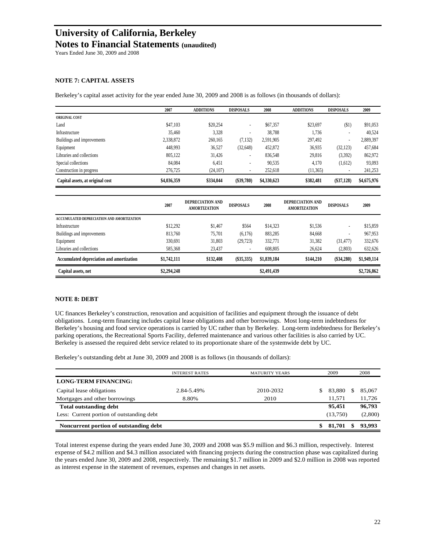Years Ended June 30, 2009 and 2008

#### **NOTE 7: CAPITAL ASSETS**

Berkeley's capital asset activity for the year ended June 30, 2009 and 2008 is as follows (in thousands of dollars):

|                                  | 2007        | <b>ADDITIONS</b> | <b>DISPOSALS</b> | 2008        | <b>ADDITIONS</b> | <b>DISPOSALS</b> | 2009        |
|----------------------------------|-------------|------------------|------------------|-------------|------------------|------------------|-------------|
| <b>ORIGINAL COST</b>             |             |                  |                  |             |                  |                  |             |
| Land                             | \$47,103    | \$20,254         |                  | \$67,357    | \$23,697         | (51)             | \$91,053    |
| Infrastructure                   | 35,460      | 3,328            |                  | 38.788      | 1.736            | ٠                | 40.524      |
| Buildings and improvements       | 2,338,872   | 260,165          | (7, 132)         | 2,591,905   | 297,492          | ٠                | 2,889,397   |
| Equipment                        | 448,993     | 36,527           | (32, 648)        | 452,872     | 36,935           | (32, 123)        | 457,684     |
| Libraries and collections        | 805,122     | 31,426           | ٠                | 836,548     | 29,816           | (3,392)          | 862,972     |
| Special collections              | 84,084      | 6,451            |                  | 90.535      | 4.170            | (1,612)          | 93,093      |
| Construction in progress         | 276,725     | (24,107)         |                  | 252.618     | (11, 365)        |                  | 241,253     |
| Capital assets, at original cost | \$4,036,359 | \$334,044        | $(\$39,780)$     | \$4,330,623 | \$382,481        | $(\$37,128)$     | \$4,675,976 |

|                                           | 2007        | DEPRECIATION AND<br><b>AMORTIZATION</b> | <b>DISPOSALS</b> | 2008        | DEPRECIATION AND<br><b>AMORTIZATION</b> | <b>DISPOSALS</b> | 2009        |
|-------------------------------------------|-------------|-----------------------------------------|------------------|-------------|-----------------------------------------|------------------|-------------|
| ACCUMULATED DEPRECIATION AND AMORTIZATION |             |                                         |                  |             |                                         |                  |             |
| Infrastructure                            | \$12,292    | \$1,467                                 | \$564            | \$14,323    | \$1.536                                 | ٠                | \$15,859    |
| Buildings and improvements                | 813,760     | 75.701                                  | (6,176)          | 883,285     | 84.668                                  | ٠                | 967.953     |
| Equipment                                 | 330,691     | 31,803                                  | (29, 723)        | 332,771     | 31,382                                  | (31, 477)        | 332,676     |
| Libraries and collections                 | 585,368     | 23.437                                  |                  | 608.805     | 26.624                                  | (2,803)          | 632,626     |
| Accumulated depreciation and amortization | \$1,742,111 | \$132,408                               | $(\$35,335)$     | \$1,839,184 | \$144,210                               | (\$34,280)       | \$1,949,114 |
| Capital assets, net                       | \$2,294,248 |                                         |                  | \$2,491,439 |                                         |                  | \$2,726,862 |

#### **NOTE 8: DEBT**

UC finances Berkeley's construction, renovation and acquisition of facilities and equipment through the issuance of debt obligations. Long-term financing includes capital lease obligations and other borrowings. Most long-term indebtedness for Berkeley's housing and food service operations is carried by UC rather than by Berkeley. Long-term indebtedness for Berkeley's parking operations, the Recreational Sports Facility, deferred maintenance and various other facilities is also carried by UC. Berkeley is assessed the required debt service related to its proportionate share of the systemwide debt by UC.

Berkeley's outstanding debt at June 30, 2009 and 2008 is as follows (in thousands of dollars):

|                                           | <b>INTEREST RATES</b> | <b>MATURITY YEARS</b> | 2009     |    | 2008    |
|-------------------------------------------|-----------------------|-----------------------|----------|----|---------|
| <b>LONG-TERM FINANCING:</b>               |                       |                       |          |    |         |
| Capital lease obligations                 | 2.84-5.49%            | 2010-2032             | 83.880   | S. | 85,067  |
| Mortgages and other borrowings            | 8.80%                 | 2010                  | 11.571   |    | 11.726  |
| <b>Total outstanding debt</b>             |                       |                       | 95.451   |    | 96,793  |
| Less: Current portion of outstanding debt |                       |                       | (13,750) |    | (2,800) |
| Noncurrent portion of outstanding debt    |                       |                       | 81,701   | \$ | 93,993  |

Total interest expense during the years ended June 30, 2009 and 2008 was \$5.9 million and \$6.3 million, respectively. Interest expense of \$4.2 million and \$4.3 million associated with financing projects during the construction phase was capitalized during the years ended June 30, 2009 and 2008, respectively. The remaining \$1.7 million in 2009 and \$2.0 million in 2008 was reported as interest expense in the statement of revenues, expenses and changes in net assets.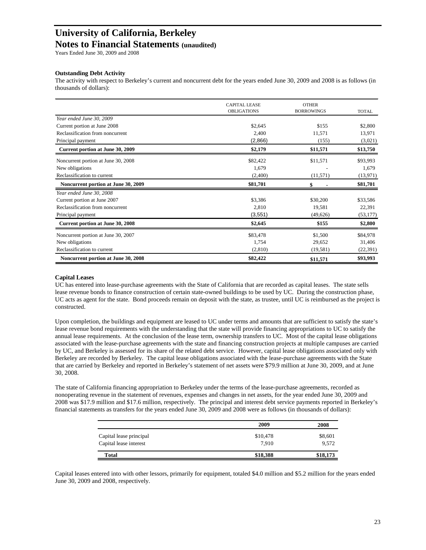# **University of California, Berkeley**

### **Notes to Financial Statements (unaudited)**

Years Ended June 30, 2009 and 2008

#### **Outstanding Debt Activity**

The activity with respect to Berkeley's current and noncurrent debt for the years ended June 30, 2009 and 2008 is as follows (in thousands of dollars):

|                                     | <b>CAPITAL LEASE</b><br><b>OBLIGATIONS</b> | <b>OTHER</b><br><b>BORROWINGS</b> | <b>TOTAL</b> |
|-------------------------------------|--------------------------------------------|-----------------------------------|--------------|
| Year ended June 30, 2009            |                                            |                                   |              |
| Current portion at June 2008        | \$2,645                                    | \$155                             | \$2,800      |
| Reclassification from noncurrent    | 2,400                                      | 11,571                            | 13,971       |
| Principal payment                   | (2,866)                                    | (155)                             | (3,021)      |
| Current portion at June 30, 2009    | \$2,179                                    | \$11,571                          | \$13,750     |
| Noncurrent portion at June 30, 2008 | \$82,422                                   | \$11,571                          | \$93,993     |
| New obligations                     | 1,679                                      |                                   | 1,679        |
| Reclassification to current         | (2,400)                                    | (11,571)                          | (13,971)     |
| Noncurrent portion at June 30, 2009 | \$81,701                                   |                                   | \$81,701     |
| Year ended June 30, 2008            |                                            |                                   |              |
| Current portion at June 2007        | \$3,386                                    | \$30,200                          | \$33,586     |
| Reclassification from noncurrent    | 2,810                                      | 19,581                            | 22,391       |
| Principal payment                   | (3,551)                                    | (49,626)                          | (53, 177)    |
| Current portion at June 30, 2008    | \$2,645                                    | \$155                             | \$2,800      |
| Noncurrent portion at June 30, 2007 | \$83,478                                   | \$1,500                           | \$84,978     |
| New obligations                     | 1,754                                      | 29,652                            | 31,406       |
| Reclassification to current         | (2,810)                                    | (19, 581)                         | (22, 391)    |
| Noncurrent portion at June 30, 2008 | \$82,422                                   | \$11,571                          | \$93,993     |

#### **Capital Leases**

UC has entered into lease-purchase agreements with the State of California that are recorded as capital leases. The state sells lease revenue bonds to finance construction of certain state-owned buildings to be used by UC. During the construction phase, UC acts as agent for the state. Bond proceeds remain on deposit with the state, as trustee, until UC is reimbursed as the project is constructed.

Upon completion, the buildings and equipment are leased to UC under terms and amounts that are sufficient to satisfy the state's lease revenue bond requirements with the understanding that the state will provide financing appropriations to UC to satisfy the annual lease requirements. At the conclusion of the lease term, ownership transfers to UC. Most of the capital lease obligations associated with the lease-purchase agreements with the state and financing construction projects at multiple campuses are carried by UC, and Berkeley is assessed for its share of the related debt service. However, capital lease obligations associated only with Berkeley are recorded by Berkeley. The capital lease obligations associated with the lease-purchase agreements with the State that are carried by Berkeley and reported in Berkeley's statement of net assets were \$79.9 million at June 30, 2009, and at June 30, 2008.

The state of California financing appropriation to Berkeley under the terms of the lease-purchase agreements, recorded as nonoperating revenue in the statement of revenues, expenses and changes in net assets, for the year ended June 30, 2009 and 2008 was \$17.9 million and \$17.6 million, respectively. The principal and interest debt service payments reported in Berkeley's financial statements as transfers for the years ended June 30, 2009 and 2008 were as follows (in thousands of dollars):

|                         | 2009     | 2008     |
|-------------------------|----------|----------|
| Capital lease principal | \$10,478 | \$8,601  |
| Capital lease interest  | 7.910    | 9.572    |
| Total                   | \$18,388 | \$18,173 |

Capital leases entered into with other lessors, primarily for equipment, totaled \$4.0 million and \$5.2 million for the years ended June 30, 2009 and 2008, respectively.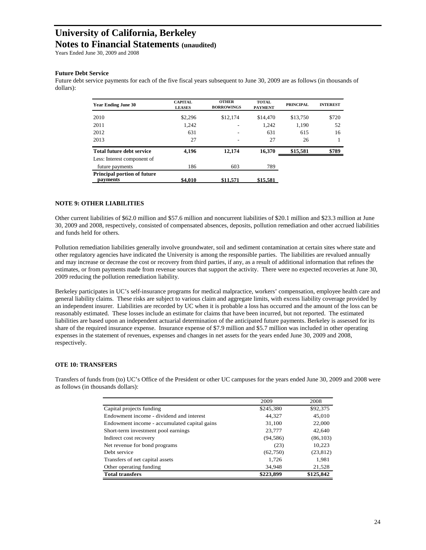Years Ended June 30, 2009 and 2008

#### **Future Debt Service**

Future debt service payments for each of the five fiscal years subsequent to June 30, 2009 are as follows (in thousands of dollars):

| <b>Year Ending June 30</b>                     | <b>CAPITAL</b><br><b>LEASES</b> | <b>OTHER</b><br><b>BORROWINGS</b> | <b>TOTAL</b><br><b>PAYMENT</b> | <b>PRINCIPAL</b> | <b>INTEREST</b> |
|------------------------------------------------|---------------------------------|-----------------------------------|--------------------------------|------------------|-----------------|
| 2010                                           | \$2,296                         | \$12,174                          | \$14,470                       | \$13,750         | \$720           |
| 2011                                           | 1,242                           |                                   | 1,242                          | 1,190            | 52              |
| 2012                                           | 631                             |                                   | 631                            | 615              | 16              |
| 2013                                           | 27                              |                                   | 27                             | 26               |                 |
| Total future debt service                      | 4,196                           | 12,174                            | 16.370                         | \$15,581         | \$789           |
| Less: Interest component of                    |                                 |                                   |                                |                  |                 |
| future payments                                | 186                             | 603                               | 789                            |                  |                 |
| <b>Principal portion of future</b><br>payments | \$4,010                         | \$11,571                          | \$15,581                       |                  |                 |

#### **NOTE 9: OTHER LIABILITIES**

Other current liabilities of \$62.0 million and \$57.6 million and noncurrent liabilities of \$20.1 million and \$23.3 million at June 30, 2009 and 2008, respectively, consisted of compensated absences, deposits, pollution remediation and other accrued liabilities and funds held for others.

Pollution remediation liabilities generally involve groundwater, soil and sediment contamination at certain sites where state and other regulatory agencies have indicated the University is among the responsible parties. The liabilities are revalued annually and may increase or decrease the cost or recovery from third parties, if any, as a result of additional information that refines the estimates, or from payments made from revenue sources that support the activity. There were no expected recoveries at June 30, 2009 reducing the pollution remediation liability.

Berkeley participates in UC's self-insurance programs for medical malpractice, workers' compensation, employee health care and general liability claims. These risks are subject to various claim and aggregate limits, with excess liability coverage provided by an independent insurer. Liabilities are recorded by UC when it is probable a loss has occurred and the amount of the loss can be reasonably estimated. These losses include an estimate for claims that have been incurred, but not reported. The estimated liabilities are based upon an independent actuarial determination of the anticipated future payments. Berkeley is assessed for its share of the required insurance expense. Insurance expense of \$7.9 million and \$5.7 million was included in other operating expenses in the statement of revenues, expenses and changes in net assets for the years ended June 30, 2009 and 2008, respectively.

#### **OTE 10: TRANSFERS**

Transfers of funds from (to) UC's Office of the President or other UC campuses for the years ended June 30, 2009 and 2008 were as follows (in thousands dollars):

|                                              | 2009      | 2008      |
|----------------------------------------------|-----------|-----------|
| Capital projects funding                     | \$245,380 | \$92,375  |
| Endowment income - dividend and interest     | 44.327    | 45,010    |
| Endowment income - accumulated capital gains | 31,100    | 22,000    |
| Short-term investment pool earnings          | 23,777    | 42,640    |
| Indirect cost recovery                       | (94, 586) | (86, 103) |
| Net revenue for bond programs                | (23)      | 10,223    |
| Debt service                                 | (62,750)  | (23, 812) |
| Transfers of net capital assets              | 1,726     | 1,981     |
| Other operating funding                      | 34,948    | 21,528    |
| <b>Total transfers</b>                       | \$223,899 | \$125,842 |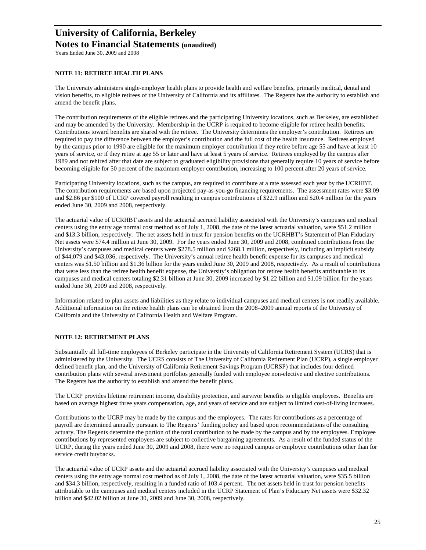Years Ended June 30, 2009 and 2008

#### **NOTE 11: RETIREE HEALTH PLANS**

The University administers single-employer health plans to provide health and welfare benefits, primarily medical, dental and vision benefits, to eligible retirees of the University of California and its affiliates. The Regents has the authority to establish and amend the benefit plans.

The contribution requirements of the eligible retirees and the participating University locations, such as Berkeley, are established and may be amended by the University. Membership in the UCRP is required to become eligible for retiree health benefits. Contributions toward benefits are shared with the retiree. The University determines the employer's contribution. Retirees are required to pay the difference between the employer's contribution and the full cost of the health insurance. Retirees employed by the campus prior to 1990 are eligible for the maximum employer contribution if they retire before age 55 and have at least 10 years of service, or if they retire at age 55 or later and have at least 5 years of service. Retirees employed by the campus after 1989 and not rehired after that date are subject to graduated eligibility provisions that generally require 10 years of service before becoming eligible for 50 percent of the maximum employer contribution, increasing to 100 percent after 20 years of service.

Participating University locations, such as the campus, are required to contribute at a rate assessed each year by the UCRHBT. The contribution requirements are based upon projected pay-as-you-go financing requirements. The assessment rates were \$3.09 and \$2.86 per \$100 of UCRP covered payroll resulting in campus contributions of \$22.9 million and \$20.4 million for the years ended June 30, 2009 and 2008, respectively.

The actuarial value of UCRHBT assets and the actuarial accrued liability associated with the University's campuses and medical centers using the entry age normal cost method as of July 1, 2008, the date of the latest actuarial valuation, were \$51.2 million and \$13.3 billion, respectively. The net assets held in trust for pension benefits on the UCRHBT's Statement of Plan Fiduciary Net assets were \$74.4 million at June 30, 2009. For the years ended June 30, 2009 and 2008, combined contributions from the University's campuses and medical centers were \$278.5 million and \$268.1 million, respectively, including an implicit subsidy of \$44,079 and \$43,036, respectively. The University's annual retiree health benefit expense for its campuses and medical centers was \$1.50 billion and \$1.36 billion for the years ended June 30, 2009 and 2008, respectively. As a result of contributions that were less than the retiree health benefit expense, the University's obligation for retiree health benefits attributable to its campuses and medical centers totaling \$2.31 billion at June 30, 2009 increased by \$1.22 billion and \$1.09 billion for the years ended June 30, 2009 and 2008, respectively.

Information related to plan assets and liabilities as they relate to individual campuses and medical centers is not readily available. Additional information on the retiree health plans can be obtained from the 2008–2009 annual reports of the University of California and the University of California Health and Welfare Program.

#### **NOTE 12: RETIREMENT PLANS**

Substantially all full-time employees of Berkeley participate in the University of California Retirement System (UCRS) that is administered by the University. The UCRS consists of The University of California Retirement Plan (UCRP), a single employer defined benefit plan, and the University of California Retirement Savings Program (UCRSP) that includes four defined contribution plans with several investment portfolios generally funded with employee non-elective and elective contributions. The Regents has the authority to establish and amend the benefit plans.

The UCRP provides lifetime retirement income, disability protection, and survivor benefits to eligible employees. Benefits are based on average highest three years compensation, age, and years of service and are subject to limited cost-of-living increases.

Contributions to the UCRP may be made by the campus and the employees. The rates for contributions as a percentage of payroll are determined annually pursuant to The Regents' funding policy and based upon recommendations of the consulting actuary. The Regents determine the portion of the total contribution to be made by the campus and by the employees. Employee contributions by represented employees are subject to collective bargaining agreements. As a result of the funded status of the UCRP, during the years ended June 30, 2009 and 2008, there were no required campus or employee contributions other than for service credit buybacks.

The actuarial value of UCRP assets and the actuarial accrued liability associated with the University's campuses and medical centers using the entry age normal cost method as of July 1, 2008, the date of the latest actuarial valuation, were \$35.5 billion and \$34.3 billion, respectively, resulting in a funded ratio of 103.4 percent. The net assets held in trust for pension benefits attributable to the campuses and medical centers included in the UCRP Statement of Plan's Fiduciary Net assets were \$32.32 billion and \$42.02 billion at June 30, 2009 and June 30, 2008, respectively.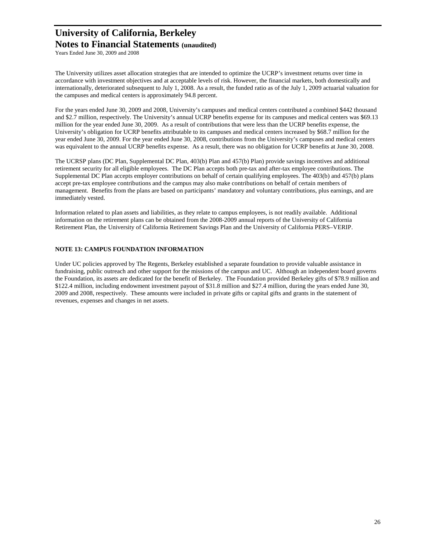Years Ended June 30, 2009 and 2008

The University utilizes asset allocation strategies that are intended to optimize the UCRP's investment returns over time in accordance with investment objectives and at acceptable levels of risk. However, the financial markets, both domestically and internationally, deteriorated subsequent to July 1, 2008. As a result, the funded ratio as of the July 1, 2009 actuarial valuation for the campuses and medical centers is approximately 94.8 percent.

For the years ended June 30, 2009 and 2008, University's campuses and medical centers contributed a combined \$442 thousand and \$2.7 million, respectively. The University's annual UCRP benefits expense for its campuses and medical centers was \$69.13 million for the year ended June 30, 2009. As a result of contributions that were less than the UCRP benefits expense, the University's obligation for UCRP benefits attributable to its campuses and medical centers increased by \$68.7 million for the year ended June 30, 2009. For the year ended June 30, 2008, contributions from the University's campuses and medical centers was equivalent to the annual UCRP benefits expense. As a result, there was no obligation for UCRP benefits at June 30, 2008.

The UCRSP plans (DC Plan, Supplemental DC Plan, 403(b) Plan and 457(b) Plan) provide savings incentives and additional retirement security for all eligible employees. The DC Plan accepts both pre-tax and after-tax employee contributions. The Supplemental DC Plan accepts employer contributions on behalf of certain qualifying employees. The 403(b) and 457(b) plans accept pre-tax employee contributions and the campus may also make contributions on behalf of certain members of management. Benefits from the plans are based on participants' mandatory and voluntary contributions, plus earnings, and are immediately vested.

Information related to plan assets and liabilities, as they relate to campus employees, is not readily available. Additional information on the retirement plans can be obtained from the 2008-2009 annual reports of the University of California Retirement Plan, the University of California Retirement Savings Plan and the University of California PERS–VERIP.

#### **NOTE 13: CAMPUS FOUNDATION INFORMATION**

Under UC policies approved by The Regents, Berkeley established a separate foundation to provide valuable assistance in fundraising, public outreach and other support for the missions of the campus and UC. Although an independent board governs the Foundation, its assets are dedicated for the benefit of Berkeley. The Foundation provided Berkeley gifts of \$78.9 million and \$122.4 million, including endowment investment payout of \$31.8 million and \$27.4 million, during the years ended June 30, 2009 and 2008, respectively. These amounts were included in private gifts or capital gifts and grants in the statement of revenues, expenses and changes in net assets.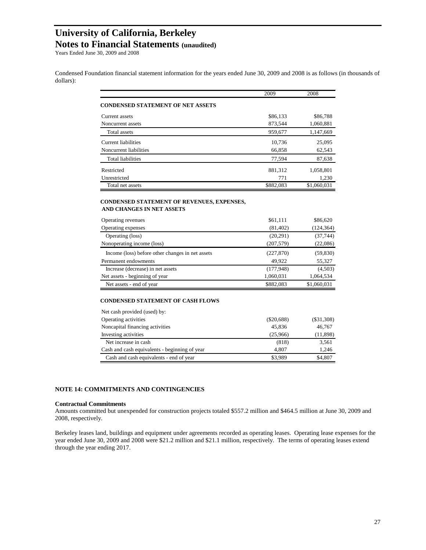Years Ended June 30, 2009 and 2008

Condensed Foundation financial statement information for the years ended June 30, 2009 and 2008 is as follows (in thousands of dollars):

|                                                                                | 2009      | 2008        |
|--------------------------------------------------------------------------------|-----------|-------------|
| <b>CONDENSED STATEMENT OF NET ASSETS</b>                                       |           |             |
| Current assets                                                                 | \$86,133  | \$86,788    |
| Noncurrent assets                                                              | 873,544   | 1,060,881   |
| <b>Total assets</b>                                                            | 959,677   | 1,147,669   |
| Current liabilities                                                            | 10,736    | 25,095      |
| Noncurrent liabilities                                                         | 66,858    | 62,543      |
| <b>Total liabilities</b>                                                       | 77,594    | 87,638      |
| Restricted                                                                     | 881,312   | 1,058,801   |
| Unrestricted                                                                   | 771       | 1,230       |
| Total net assets                                                               | \$882,083 | \$1,060,031 |
| CONDENSED STATEMENT OF REVENUES, EXPENSES,<br><b>AND CHANGES IN NET ASSETS</b> |           |             |
| Operating revenues                                                             | \$61,111  | \$86,620    |
| Operating expenses                                                             | (81, 402) | (124, 364)  |
| $O$ <i>eguing</i> $(1_{222})$                                                  | (20.201)  | (27.741)    |

| Operating revenues                               | 301,111    | \$80,020    |
|--------------------------------------------------|------------|-------------|
| Operating expenses                               | (81, 402)  | (124, 364)  |
| Operating (loss)                                 | (20,291)   | (37, 744)   |
| Nonoperating income (loss)                       | (207, 579) | (22,086)    |
| Income (loss) before other changes in net assets | (227, 870) | (59, 830)   |
| Permanent endowments                             | 49.922     | 55,327      |
| Increase (decrease) in net assets                | (177,948)  | (4,503)     |
| Net assets - beginning of year                   | 1,060,031  | 1,064,534   |
| Net assets - end of year                         | \$882,083  | \$1,060,031 |

#### **CONDENSED STATEMENT OF CASH FLOWS**

| Net cash provided (used) by:                  |              |              |
|-----------------------------------------------|--------------|--------------|
| Operating activities                          | $(\$20,688)$ | $(\$31,308)$ |
| Noncapital financing activities               | 45,836       | 46,767       |
| Investing activities                          | (25,966)     | (11, 898)    |
| Net increase in cash                          | (818)        | 3,561        |
| Cash and cash equivalents - beginning of year | 4.807        | 1,246        |
| Cash and cash equivalents - end of year       | \$3.989      | \$4,807      |
|                                               |              |              |

#### **NOTE 14: COMMITMENTS AND CONTINGENCIES**

#### **Contractual Commitments**

Amounts committed but unexpended for construction projects totaled \$557.2 million and \$464.5 million at June 30, 2009 and 2008, respectively.

Berkeley leases land, buildings and equipment under agreements recorded as operating leases. Operating lease expenses for the year ended June 30, 2009 and 2008 were \$21.2 million and \$21.1 million, respectively. The terms of operating leases extend through the year ending 2017.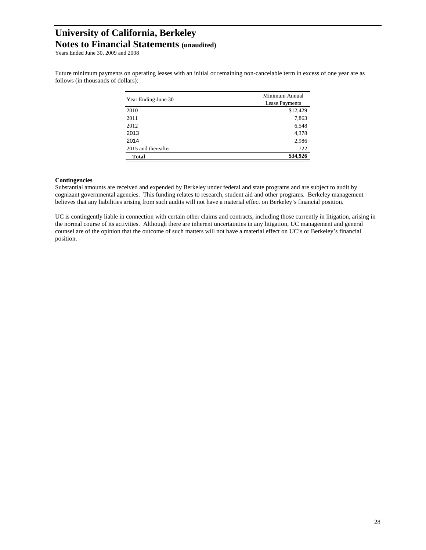Years Ended June 30, 2009 and 2008

Future minimum payments on operating leases with an initial or remaining non-cancelable term in excess of one year are as follows (in thousands of dollars):

|                     | Minimum Annual |  |  |
|---------------------|----------------|--|--|
| Year Ending June 30 | Lease Payments |  |  |
| 2010                | \$12,429       |  |  |
| 2011                | 7,863          |  |  |
| 2012                | 6,548          |  |  |
| 2013                | 4,378          |  |  |
| 2014                | 2,986          |  |  |
| 2015 and thereafter | 722            |  |  |
| <b>Total</b>        | \$34,926       |  |  |

#### **Contingencies**

Substantial amounts are received and expended by Berkeley under federal and state programs and are subject to audit by cognizant governmental agencies. This funding relates to research, student aid and other programs. Berkeley management believes that any liabilities arising from such audits will not have a material effect on Berkeley's financial position.

UC is contingently liable in connection with certain other claims and contracts, including those currently in litigation, arising in the normal course of its activities. Although there are inherent uncertainties in any litigation, UC management and general counsel are of the opinion that the outcome of such matters will not have a material effect on UC's or Berkeley's financial position.